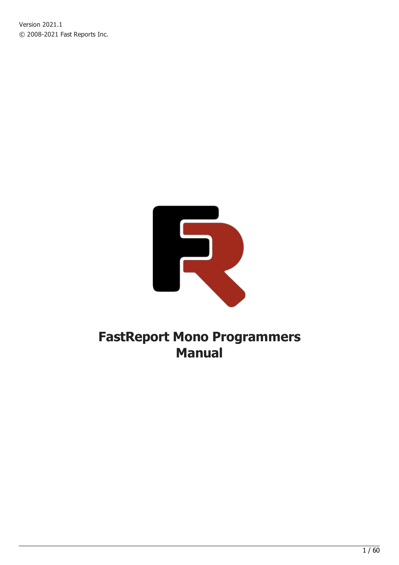Version 2021.1 © 2008-2021 Fast Reports Inc.



# FastReport Mono Programmers Manual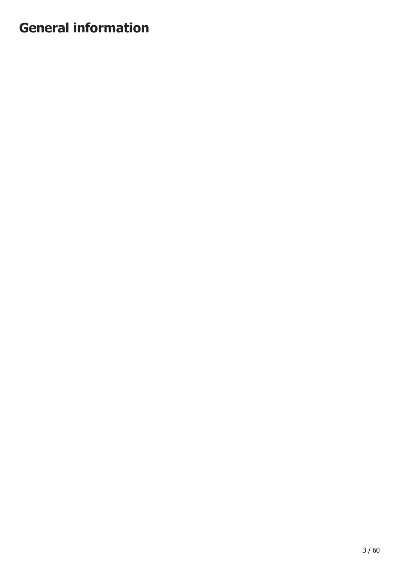# General information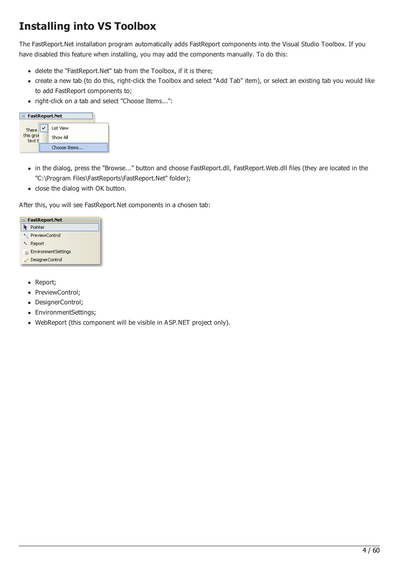# Installing into VS Toolbox

The FastReport.Net installation program automatically adds FastReport components into the Visual Studio Toolbox. If you have disabled this feature when installing, you may add the components manually. To do this:

- delete the "FastReport.Net" tab from the Toolbox, if it is there;
- create a new tab (to do this, right-click the Toolbox and select "Add Tab" item), or select an existing tab you would like to add FastReport components to;
- right-click on a tab and select "Choose Items...":

| $\blacksquare$ FastReport.Net |              |  |
|-------------------------------|--------------|--|
| There                         | List View    |  |
| this grot<br>text ti          | Show All     |  |
|                               | Choose Items |  |

- in the dialog, press the "Browse..." button and choose FastReport.dll, FastReport.Web.dll files (they are located in the "C:\Program Files\FastReports\FastReport.Net" folder);
- close the dialog with OK button.

After this, you will see FastReport.Net components in a chosen tab:

| $\blacksquare$ FastReport.Net |
|-------------------------------|
| Pointer                       |
| <b>ReviewControl</b>          |
| Report                        |
| <b>B. EnvironmentSettings</b> |
| DesignerControl               |

- Report;
- PreviewControl;
- DesignerControl;
- EnvironmentSettings;
- WebReport (this component will be visible in ASP.NET project only).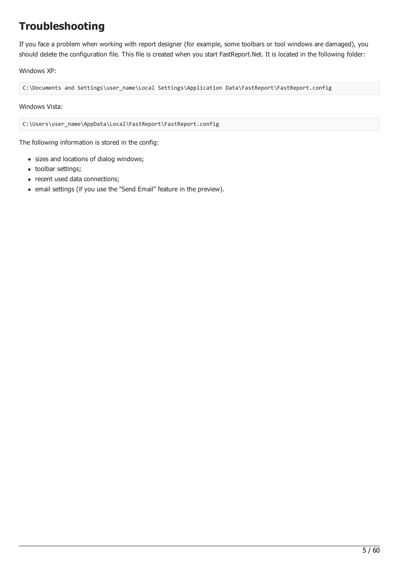# Troubleshooting

If you face a problem when working with report designer (for example, some toolbars or tool windows are damaged), you should delete the configuration file. This file is created when you start FastReport.Net. It is located in the following folder:

Windows XP:

C:\Documents and Settings\user\_name\Local Settings\Application Data\FastReport\FastReport.config

Windows Vista:

C:\Users\user\_name\AppData\Local\FastReport\FastReport.config

The following information is stored in the config:

- sizes and locations of dialog windows;
- toolbar settings;
- recent used data connections;
- email settings (if you use the "Send Email" feature in the preview).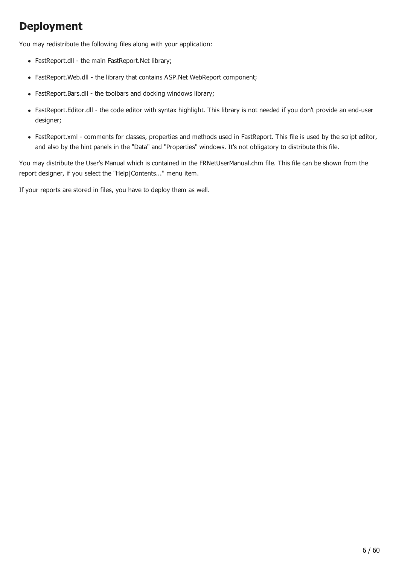# Deployment

You may redistribute the following files along with your application:

- FastReport.dll the main FastReport.Net library;
- FastReport.Web.dll the library that contains ASP.Net WebReport component;
- FastReport.Bars.dll the toolbars and docking windows library;
- FastReport.Editor.dll the code editor with syntax highlight. This library is not needed if you don't provide an end-user designer;
- FastReport.xml comments for classes, properties and methods used in FastReport. This file is used by the script editor, and also by the hint panels in the "Data" and "Properties" windows. It's not obligatory to distribute this file.

You may distribute the User's Manual which is contained in the FRNetUserManual.chm file. This file can be shown from the report designer, if you select the "Help|Contents..." menu item.

If your reports are stored in files, you have to deploy them as well.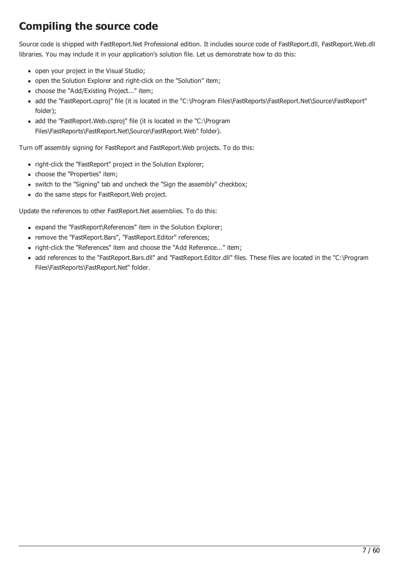# Compiling the source code

Source code is shipped with FastReport.Net Professional edition. It includes source code of FastReport.dll, FastReport.Web.dll libraries. You may include it in your application's solution file. Let us demonstrate how to do this:

- open your project in the Visual Studio;
- open the Solution Explorer and right-click on the "Solution" item;
- choose the "Add/Existing Project..." item;
- add the "FastReport.csproj" file (it is located in the "C:\Program Files\FastReports\FastReport.Net\Source\FastReport" folder);
- add the "FastReport.Web.csproj" file (it is located in the "C:\Program Files\FastReports\FastReport.Net\Source\FastReport.Web" folder).

Turn off assembly signing for FastReport and FastReport.Web projects. To do this:

- right-click the "FastReport" project in the Solution Explorer;
- choose the "Properties" item;
- switch to the "Signing" tab and uncheck the "Sign the assembly" checkbox;
- do the same steps for FastReport.Web project.

Update the references to other FastReport.Net assemblies. To do this:

- expand the "FastReport\References" item in the Solution Explorer;
- remove the "FastReport.Bars", "FastReport.Editor" references;
- right-click the "References" item and choose the "Add Reference..." item;
- add references to the "FastReport.Bars.dll" and "FastReport.Editor.dll" files. These files are located in the "C:\Program Files\FastReports\FastReport.Net" folder.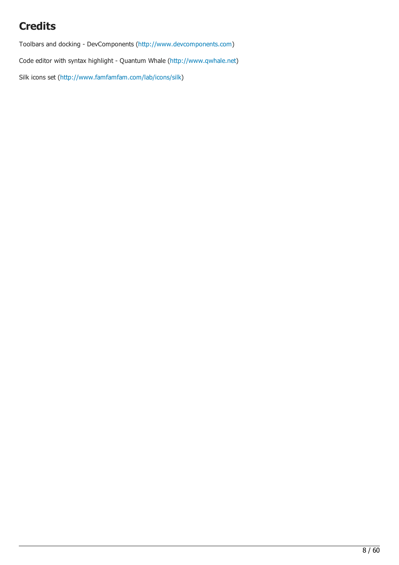# **Credits**

Toolbars and docking - DevComponents [\(http://www.devcomponents.com](http://www.devcomponents.com))

Code editor with syntax highlight - Quantum Whale ([http://www.qwhale.net\)](http://www.qwhale.net)

Silk icons set [\(http://www.famfamfam.com/lab/icons/silk](http://www.famfamfam.com/lab/icons/silk))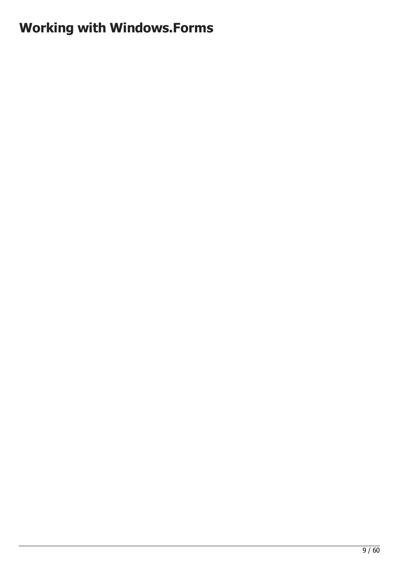# <span id="page-8-0"></span>Working with Windows.Forms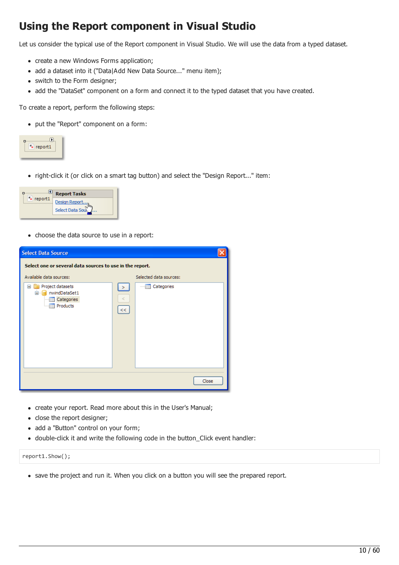# Using the Report component in Visual Studio

Let us consider the typical use of the Report component in Visual Studio. We will use the data from a typed dataset.

- create a new Windows Forms application;
- add a dataset into it ("Data|Add New Data Source..." menu item);
- switch to the Form designer;
- add the "DataSet" component on a form and connect it to the typed dataset that you have created.

To create a report, perform the following steps:

put the "Report" component on a form:

| report1 |
|---------|
|         |

right-click it (or click on a smart tag button) and select the "Design Report..." item:



• choose the data source to use in a report:

| <b>Select Data Source</b>                                                                    |              |                               |       |
|----------------------------------------------------------------------------------------------|--------------|-------------------------------|-------|
| Select one or several data sources to use in the report.                                     |              |                               |       |
| Available data sources:                                                                      |              | Selected data sources:        |       |
| Project datasets<br>Ξ<br>nwindDataSet1<br>⊟…<br><b>Execute</b> Categories<br><b>Products</b> | ⋗<br>₹<br><< | <b>Execute</b> Categories<br> |       |
|                                                                                              |              |                               | Close |

- create your report. Read more about this in the User's Manual;
- close the report designer;
- add a "Button" control on your form;
- double-click it and write the following code in the button\_Click event handler:

report1.Show();

save the project and run it. When you click on a button you will see the prepared report.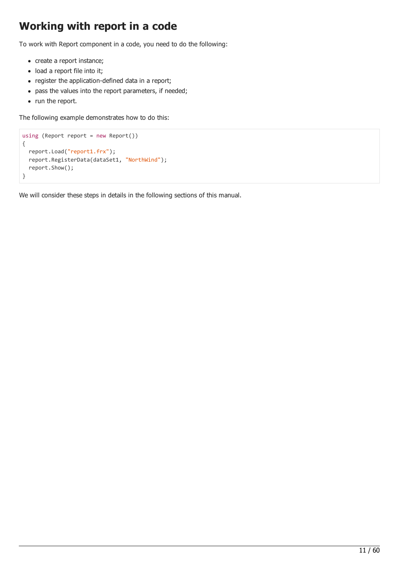## Working with report in a code

To work with Report component in a code, you need to do the following:

- create a report instance;
- load a report file into it;
- register the application-defined data in a report;
- pass the values into the report parameters, if needed;
- run the report.

The following example demonstrates how to do this:

```
using (Report report = new Report())
{
 report.Load("report1.frx");
 report.RegisterData(dataSet1, "NorthWind");
  report.Show();
}
```
We will consider these steps in details in the following sections of this manual.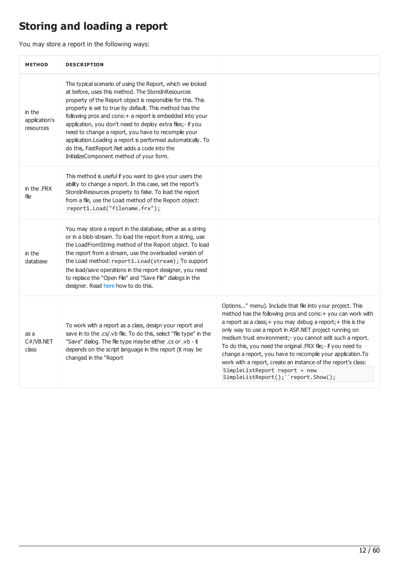# <span id="page-11-0"></span>Storing and loading a report

You may store a report in the following ways:

| <b>METHOD</b>                        | <b>DESCRIPTION</b>                                                                                                                                                                                                                                                                                                                                                                                                                                                                                                                                                                     |                                                                                                                                                                                                                                                                                                                                                                                                                                                                                                                                                                                          |
|--------------------------------------|----------------------------------------------------------------------------------------------------------------------------------------------------------------------------------------------------------------------------------------------------------------------------------------------------------------------------------------------------------------------------------------------------------------------------------------------------------------------------------------------------------------------------------------------------------------------------------------|------------------------------------------------------------------------------------------------------------------------------------------------------------------------------------------------------------------------------------------------------------------------------------------------------------------------------------------------------------------------------------------------------------------------------------------------------------------------------------------------------------------------------------------------------------------------------------------|
| in the<br>application's<br>resources | The typical scenario of using the Report, which we looked<br>at before, uses this method. The StoreInResources<br>property of the Report object is responsible for this. This<br>property is set to true by default. This method has the<br>following pros and cons: + a report is embedded into your<br>application, you don't need to deploy extra files;- if you<br>need to change a report, you have to recompile your<br>application. Loading a report is performed automatically. To<br>do this, FastReport.Net adds a code into the<br>InitializeComponent method of your form. |                                                                                                                                                                                                                                                                                                                                                                                                                                                                                                                                                                                          |
| in the .FRX<br>file                  | This method is useful if you want to give your users the<br>ability to change a report. In this case, set the report's<br>StoreInResources property to false. To load the report<br>from a file, use the Load method of the Report object:<br>report1.Load("filename.frx");                                                                                                                                                                                                                                                                                                            |                                                                                                                                                                                                                                                                                                                                                                                                                                                                                                                                                                                          |
| in the<br>database                   | You may store a report in the database, either as a string<br>or in a blob-stream. To load the report from a string, use<br>the LoadFromString method of the Report object. To load<br>the report from a stream, use the overloaded version of<br>the Load method: report1. Load (stream); To support<br>the load/save operations in the report designer, you need<br>to replace the "Open File" and "Save File" dialogs in the<br>designer. Read here how to do this.                                                                                                                 |                                                                                                                                                                                                                                                                                                                                                                                                                                                                                                                                                                                          |
| as a<br>C#/VB.NET<br>class           | To work with a report as a class, design your report and<br>save in to the .cs/.vb file. To do this, select "file type" in the<br>"Save" dialog. The file type maybe either .cs or .vb - it<br>depends on the script language in the report (it may be<br>changed in the "Report                                                                                                                                                                                                                                                                                                       | Options" menu). Include that file into your project. This<br>method has the following pros and cons: + you can work with<br>a report as a class; + you may debug a report; + this is the<br>only way to use a report in ASP.NET project running on<br>medium trust environment;- you cannot edit such a report.<br>To do this, you need the original .FRX file;- if you need to<br>change a report, you have to recompile your application. To<br>work with a report, create an instance of the report's class:<br>SimpleListReport report = new<br>SimpleListReport(); ``report.Show(); |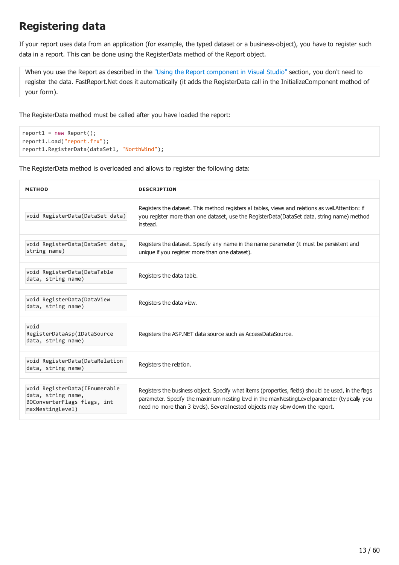# <span id="page-12-0"></span>Registering data

If your report uses data from an application (for example, the typed dataset or a business-object), you have to register such data in a report. This can be done using the RegisterData method of the Report object.

When you use the Report as described in the "Using the Report [component](#page-8-0) in Visual Studio" section, you don't need to register the data. FastReport.Net does it automatically (it adds the RegisterData call in the InitializeComponent method of your form).

The RegisterData method must be called after you have loaded the report:

```
report1 = new Report();report1.Load("report.frx");
report1.RegisterData(dataSet1, "NorthWind");
```
The RegisterData method is overloaded and allows to register the following data:

| <b>METHOD</b>                                                                                           | <b>DESCRIPTION</b>                                                                                                                                                                                                                                                                   |
|---------------------------------------------------------------------------------------------------------|--------------------------------------------------------------------------------------------------------------------------------------------------------------------------------------------------------------------------------------------------------------------------------------|
| void RegisterData(DataSet data)                                                                         | Registers the dataset. This method registers all tables, views and relations as well. Attention: if<br>you register more than one dataset, use the RegisterData(DataSet data, string name) method<br>instead.                                                                        |
| void RegisterData(DataSet data,<br>string name)                                                         | Registers the dataset. Specify any name in the name parameter (it must be persistent and<br>unique if you register more than one dataset).                                                                                                                                           |
| void RegisterData(DataTable<br>data, string name)                                                       | Registers the data table.                                                                                                                                                                                                                                                            |
| void RegisterData(DataView<br>data, string name)                                                        | Registers the data view.                                                                                                                                                                                                                                                             |
| void<br>RegisterDataAsp(IDataSource<br>data, string name)                                               | Registers the ASP.NET data source such as AccessDataSource.                                                                                                                                                                                                                          |
| void RegisterData(DataRelation<br>data, string name)                                                    | Registers the relation.                                                                                                                                                                                                                                                              |
| void RegisterData (IEnumerable<br>data, string name,<br>BOConverterFlags flags, int<br>maxNestingLevel) | Registers the business object. Specify what items (properties, fields) should be used, in the flags<br>parameter. Specify the maximum nesting level in the maxNestingLevel parameter (typically you<br>need no more than 3 levels). Several nested objects may slow down the report. |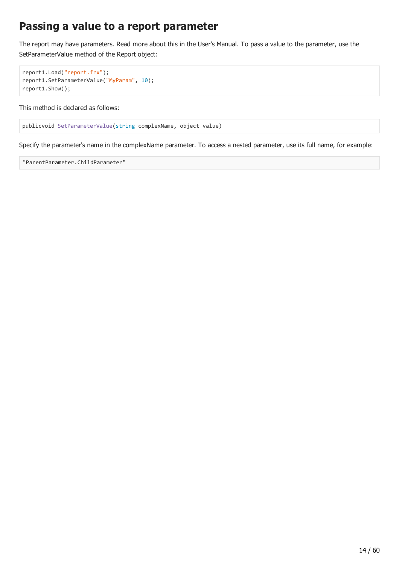#### <span id="page-13-0"></span>Passing a value to a report parameter

The report may have parameters. Read more about this in the User's Manual. To pass a value to the parameter, use the SetParameterValue method of the Report object:

```
report1.Load("report.frx");
report1.SetParameterValue("MyParam", 10);
report1.Show();
```
This method is declared as follows:

```
publicvoid SetParameterValue(string complexName, object value)
```
Specify the parameter's name in the complexName parameter. To access a nested parameter, use its full name, for example:

```
"ParentParameter.ChildParameter"
```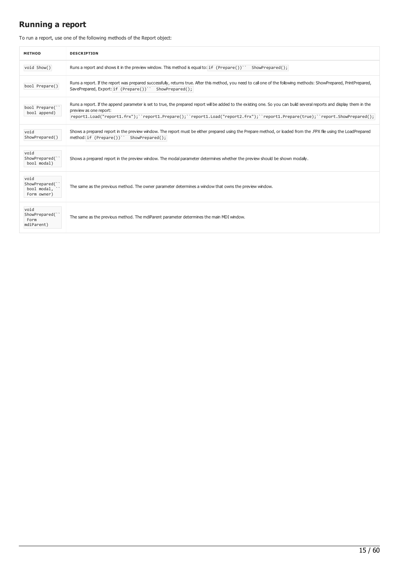#### Running a report

To run a report, use one of the following methods of the Report object:

| <b>METHOD</b>                                        | <b>DESCRIPTION</b>                                                                                                                                                                                                                                                                                                                 |
|------------------------------------------------------|------------------------------------------------------------------------------------------------------------------------------------------------------------------------------------------------------------------------------------------------------------------------------------------------------------------------------------|
| void Show()                                          | Runs a report and shows it in the preview window. This method is equal to: if (Prepare())<br>$ShowPrepared()$ ;                                                                                                                                                                                                                    |
| bool Prepare()                                       | Runs a report. If the report was prepared successfully, returns true. After this method, you need to call one of the following methods: ShowPrepared, PrintPrepared,<br>SavePrepared, Export: if (Prepare())``<br>ShowPrepared();                                                                                                  |
| bool Prepare(`<br>bool append)                       | Runs a report. If the append parameter is set to true, the prepared report will be added to the existing one. So you can build several reports and display them in the<br>preview as one report:<br>report1.Load("report1.frx");``report1.Prepare();``report1.Load("report2.frx");``report1.Prepare(true);``report.ShowPrepared(); |
| void<br>ShowPrepared()                               | Shows a prepared report in the preview window. The report must be either prepared using the Prepare method, or loaded from the .FPX file using the LoadPrepared<br>method: if (Prepare())<br>ShowPrepared();                                                                                                                       |
| void<br>ShowPrepared(`<br>bool modal)                | Shows a prepared report in the preview window. The modal parameter determines whether the preview should be shown modally.                                                                                                                                                                                                         |
| void<br>ShowPrepared(`<br>bool modal,<br>Form owner) | The same as the previous method. The owner parameter determines a window that owns the preview window.                                                                                                                                                                                                                             |
| void<br>ShowPrepared(<br>Form<br>mdiParent)          | The same as the previous method. The mdiParent parameter determines the main MDI window.                                                                                                                                                                                                                                           |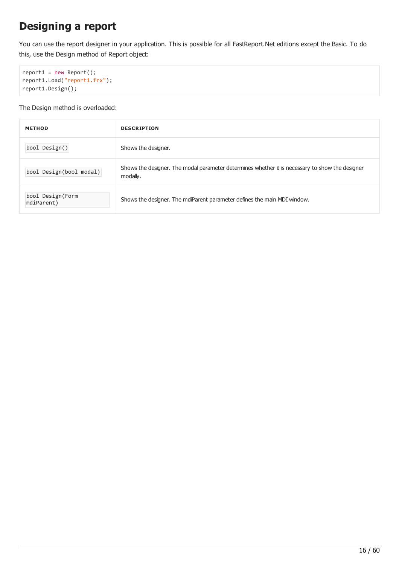# Designing a report

You can use the report designer in your application. This is possible for all FastReport.Net editions except the Basic. To do this, use the Design method of Report object:

```
report1 = new Report();
report1.Load("report1.frx");
report1.Design();
```
The Design method is overloaded:

| <b>METHOD</b>                  | <b>DESCRIPTION</b>                                                                                          |
|--------------------------------|-------------------------------------------------------------------------------------------------------------|
| bool Design()                  | Shows the designer.                                                                                         |
| bool Design(bool modal)        | Shows the designer. The modal parameter determines whether it is necessary to show the designer<br>modally. |
| bool Design(Form<br>mdiParent) | Shows the designer. The mdiParent parameter defines the main MDI window.                                    |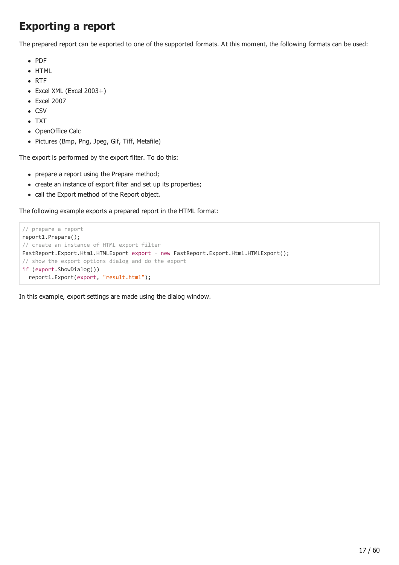# Exporting a report

The prepared report can be exported to one of the supported formats. At this moment, the following formats can be used:

- PDF
- HTML
- $\bullet$  RTF
- Excel XML (Excel 2003+)
- Excel 2007
- $\bullet$  CSV
- TXT
- OpenOffice Calc
- Pictures (Bmp, Png, Jpeg, Gif, Tiff, Metafile)

The export is performed by the export filter. To do this:

- prepare a report using the Prepare method;
- create an instance of export filter and set up its properties;
- call the Export method of the Report object.

The following example exports a prepared report in the HTML format:

```
// prepare a report
report1.Prepare();
// create an instance of HTML export filter
FastReport.Export.Html.HTMLExport export = new FastReport.Export.Html.HTMLExport();
// show the export options dialog and do the export
if (export.ShowDialog())
 report1.Export(export, "result.html");
```
In this example, export settings are made using the dialog window.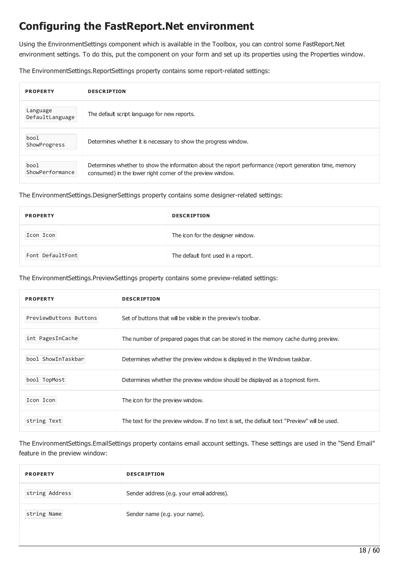# <span id="page-17-0"></span>Configuring the FastReport.Net environment

Using the EnvironmentSettings component which is available in the Toolbox, you can control some FastReport.Net environment settings. To do this, put the component on your form and set up its properties using the Properties window.

The EnvironmentSettings.ReportSettings property contains some report-related settings:

| <b>PROPERTY</b>             | <b>DESCRIPTION</b>                                                                                                                                                    |
|-----------------------------|-----------------------------------------------------------------------------------------------------------------------------------------------------------------------|
| Language<br>DefaultLanguage | The default script language for new reports.                                                                                                                          |
| bool<br>ShowProgress        | Determines whether it is necessary to show the progress window.                                                                                                       |
| bool<br>ShowPerformance     | Determines whether to show the information about the report performance (report generation time, memory<br>consumed) in the lower right corner of the preview window. |

The EnvironmentSettings.DesignerSettings property contains some designer-related settings:

| <b>PROPERTY</b>  | <b>DESCRIPTION</b>                 |
|------------------|------------------------------------|
| Icon Icon        | The icon for the designer window.  |
| Font DefaultFont | The default font used in a report. |

The EnvironmentSettings.PreviewSettings property contains some preview-related settings:

| <b>PROPERTY</b>        | <b>DESCRIPTION</b>                                                                           |
|------------------------|----------------------------------------------------------------------------------------------|
| PreviewButtons Buttons | Set of buttons that will be visible in the preview's toolbar.                                |
| int PagesInCache       | The number of prepared pages that can be stored in the memory cache during preview.          |
| bool ShowInTaskbar     | Determines whether the preview window is displayed in the Windows taskbar.                   |
| bool TopMost           | Determines whether the preview window should be displayed as a topmost form.                 |
| Icon Icon              | The icon for the preview window.                                                             |
| string Text            | The text for the preview window. If no text is set, the default text "Preview" will be used. |

The EnvironmentSettings.EmailSettings property contains email account settings. These settings are used in the "Send Email" feature in the preview window:

| <b>PROPERTY</b> | <b>DESCRIPTION</b>                        |
|-----------------|-------------------------------------------|
| string Address  | Sender address (e.g. your email address). |
| string Name     | Sender name (e.g. your name).             |
|                 |                                           |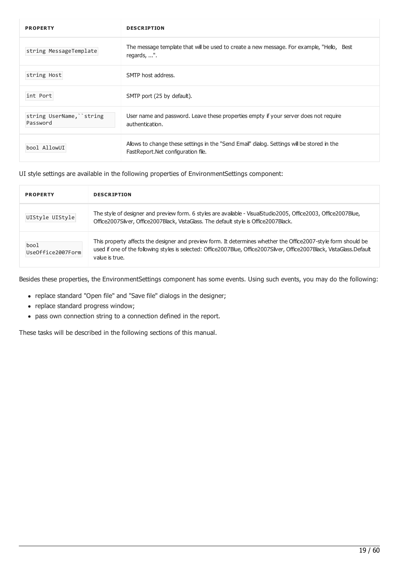| <b>PROPERTY</b>                       | <b>DESCRIPTION</b>                                                                                                               |
|---------------------------------------|----------------------------------------------------------------------------------------------------------------------------------|
| string MessageTemplate                | The message template that will be used to create a new message. For example, "Hello, Best<br>regards, ".                         |
| string Host                           | SMTP host address.                                                                                                               |
| int Port                              | SMTP port (25 by default).                                                                                                       |
| string UserName, ``string<br>Password | User name and password. Leave these properties empty if your server does not require<br>authentication.                          |
| bool AllowUI                          | Allows to change these settings in the "Send Email" dialog. Settings will be stored in the<br>FastReport.Net configuration file. |

UI style settings are available in the following properties of EnvironmentSettings component:

| <b>PROPERTY</b>           | <b>DESCRIPTION</b>                                                                                                                                                                                                                                         |
|---------------------------|------------------------------------------------------------------------------------------------------------------------------------------------------------------------------------------------------------------------------------------------------------|
| UIStyle UIStyle           | The style of designer and preview form. 6 styles are available - VisualStudio2005, Office2003, Office2007Blue,<br>Office2007Silver, Office2007Black, VistaGlass. The default style is Office2007Black.                                                     |
| bool<br>UseOffice2007Form | This property affects the designer and preview form. It determines whether the Office2007-style form should be<br>used if one of the following styles is selected: Office2007Blue, Office2007Sliver, Office2007Black, VistaGlass.Default<br>value is true. |

Besides these properties, the EnvironmentSettings component has some events. Using such events, you may do the following:

- replace standard "Open file" and "Save file" dialogs in the designer;
- replace standard progress window;
- pass own connection string to a connection defined in the report.

These tasks will be described in the following sections of this manual.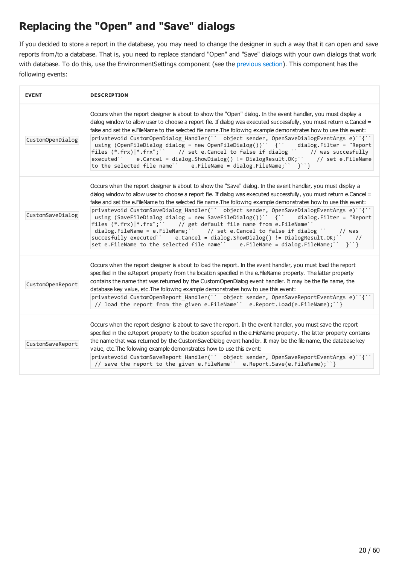# <span id="page-19-0"></span>Replacing the "Open" and "Save" dialogs

If you decided to store a report in the database, you may need to change the designer in such a way that it can open and save reports from/to a database. That is, you need to replace standard "Open" and "Save" dialogs with your own dialogs that work with database. To do this, use the EnvironmentSettings component (see the [previous](#page-19-0) section). This component has the following events:

| <b>EVENT</b>     | <b>DESCRIPTION</b>                                                                                                                                                                                                                                                                                                                                                                                                                                                                                                                                                                                                                                                                                                                                                                                                                                                             |
|------------------|--------------------------------------------------------------------------------------------------------------------------------------------------------------------------------------------------------------------------------------------------------------------------------------------------------------------------------------------------------------------------------------------------------------------------------------------------------------------------------------------------------------------------------------------------------------------------------------------------------------------------------------------------------------------------------------------------------------------------------------------------------------------------------------------------------------------------------------------------------------------------------|
| CustomOpenDialog | Occurs when the report designer is about to show the "Open" dialog. In the event handler, you must display a<br>dialog window to allow user to choose a report file. If dialog was executed successfully, you must return e.Cancel =<br>false and set the e.FileName to the selected file name. The following example demonstrates how to use this event:<br>privatevoid CustomOpenDialog_Handler(`` object sender, OpenSaveDialogEventArgs e)``{``<br>using (OpenFileDialog dialog = new OpenFileDialog())` {` dialog.Filter = "Report<br>files $(*.frx) *.frx"$ ; // set e.Cancel to false if dialog `` // was succesfully<br>executed' \cdot e.Cancel = dialog.ShowDialog() != DialogResult.OK; \cdot / set e.FileName<br>to the selected file name" e.FileName = dialog.FileName;" $\}$ "}                                                                                 |
| CustomSaveDialog | Occurs when the report designer is about to show the "Save" dialog. In the event handler, you must display a<br>dialog window to allow user to choose a report file. If dialog was executed successfully, you must return e.Cancel =<br>false and set the e.FileName to the selected file name. The following example demonstrates how to use this event:<br>privatevoid CustomSaveDialog_Handler(`` object sender, OpenSaveDialogEventArgs e)``{``<br>using (SaveFileDialog dialog = new SaveFileDialog())' {' dialog.Filter = "Report<br>files (*.frx) *.frx"; `` // get default file name from e.FileName``<br>dialog.FileName = e.FileName; `` // set e.Cancel to false if dialog `` // was<br>succesfully executed`` e.Cancel = dialog.ShowDialog() != DialogResult.OK; ` //<br>set e.FileName to the selected file name'' e.FileName = dialog.FileName;''<br>$\}$ , $\}$ |
| CustomOpenReport | Occurs when the report designer is about to load the report. In the event handler, you must load the report<br>specified in the e.Report property from the location specified in the e.FileName property. The latter property<br>contains the name that was returned by the CustomOpenDialog event handler. It may be the file name, the<br>database key value, etc. The following example demonstrates how to use this event:<br>privatevoid CustomOpenReport_Handler(`` object sender, OpenSaveReportEventArgs e)``{``<br>// load the report from the given e.FileName`` e.Report.Load(e.FileName); ``}                                                                                                                                                                                                                                                                      |
| CustomSaveReport | Occurs when the report designer is about to save the report. In the event handler, you must save the report<br>specified in the e.Report property to the location specified in the e.FileName property. The latter property contains<br>the name that was returned by the CustomSaveDialog event handler. It may be the file name, the database key<br>value, etc. The following example demonstrates how to use this event:<br>privatevoid CustomSaveReport Handler(`` object sender, OpenSaveReportEventArgs e)``{``<br>// save the report to the given e. FileName`` e. Report. Save(e. FileName); `` }                                                                                                                                                                                                                                                                     |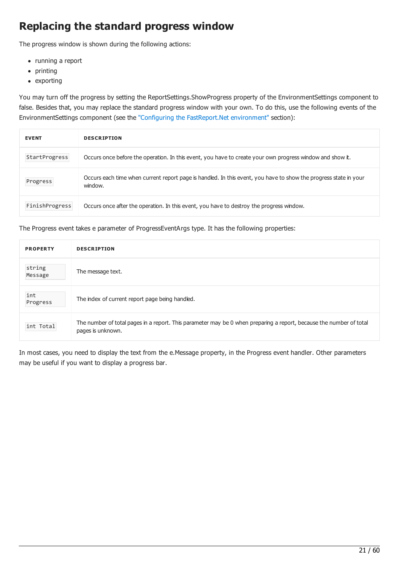# Replacing the standard progress window

The progress window is shown during the following actions:

- running a report
- printing
- exporting

You may turn off the progress by setting the ReportSettings.ShowProgress property of the EnvironmentSettings component to false. Besides that, you may replace the standard progress window with your own. To do this, use the following events of the EnvironmentSettings component (see the "Configuring the [FastReport.Net](#page-17-0) environment" section):

| <b>EVENT</b>   | <b>DESCRIPTION</b>                                                                                                          |
|----------------|-----------------------------------------------------------------------------------------------------------------------------|
| StartProgress  | Occurs once before the operation. In this event, you have to create your own progress window and show it.                   |
| Progress       | Occurs each time when current report page is handled. In this event, you have to show the progress state in your<br>window. |
| FinishProgress | Occurs once after the operation. In this event, you have to destroy the progress window.                                    |

The Progress event takes e parameter of ProgressEventArgs type. It has the following properties:

| <b>PROPERTY</b>   | <b>DESCRIPTION</b>                                                                                                                       |
|-------------------|------------------------------------------------------------------------------------------------------------------------------------------|
| string<br>Message | The message text.                                                                                                                        |
| int<br>Progress   | The index of current report page being handled.                                                                                          |
| int Total         | The number of total pages in a report. This parameter may be 0 when preparing a report, because the number of total<br>pages is unknown. |

In most cases, you need to display the text from the e.Message property, in the Progress event handler. Other parameters may be useful if you want to display a progress bar.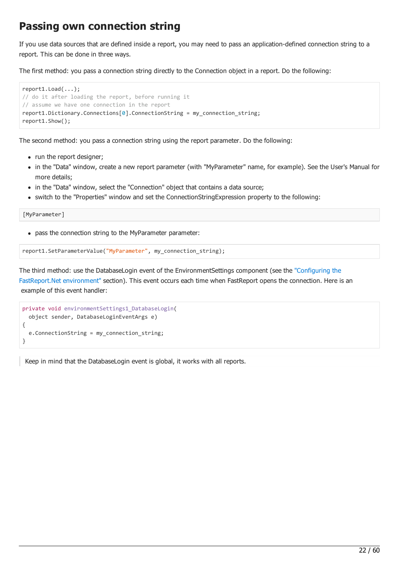#### Passing own connection string

If you use data sources that are defined inside a report, you may need to pass an application-defined connection string to a report. This can be done in three ways.

The first method: you pass a connection string directly to the Connection object in a report. Do the following:

```
report1.Load(...);
// do it after loading the report, before running it
// assume we have one connection in the report
report1.Dictionary.Connections[0].ConnectionString = my_connection_string;
report1.Show();
```
The second method: you pass a connection string using the report parameter. Do the following:

- run the report designer;
- in the "Data" window, create a new report parameter (with "MyParameter" name, for example). See the User's Manual for more details;
- in the "Data" window, select the "Connection" object that contains a data source;
- switch to the "Properties" window and set the ConnectionStringExpression property to the following:

[MyParameter]

pass the connection string to the MyParameter parameter:

report1.SetParameterValue("MyParameter", my\_connection\_string);

The third method: use the DatabaseLogin event of the [EnvironmentSettings](#page-17-0) component (see the "Configuring the FastReport.Net environment" section). This event occurs each time when FastReport opens the connection. Here is an example of this event handler:

```
private void environmentSettings1_DatabaseLogin(
 object sender, DatabaseLoginEventArgs e)
{
 e.ConnectionString = my_connection_string;
}
```
Keep in mind that the DatabaseLogin event is global, it works with all reports.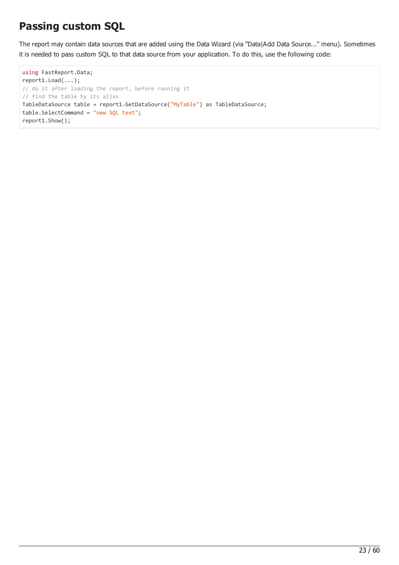# Passing custom SQL

The report may contain data sources that are added using the Data Wizard (via "Data|Add Data Source..." menu). Sometimes it is needed to pass custom SQL to that data source from your application. To do this, use the following code:

```
using FastReport.Data;
report1.Load(...);
// do it after loading the report, before running it
// find the table by its alias
TableDataSource table = report1.GetDataSource("MyTable") as TableDataSource;
table.SelectCommand = "new SQL text";
report1.Show();
```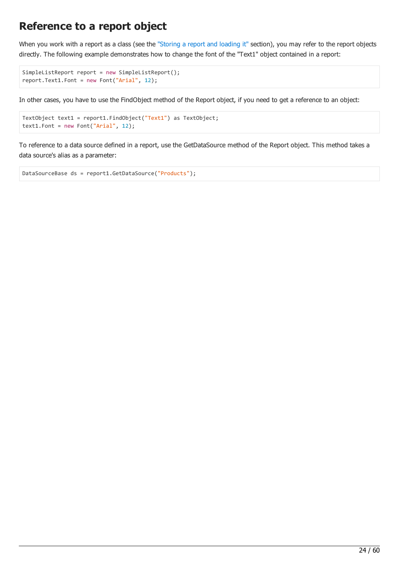#### Reference to a report object

When you work with a report as a class (see the ["Storing](#page-11-0) a report and loading it" section), you may refer to the report objects directly. The following example demonstrates how to change the font of the "Text1" object contained in a report:

```
SimpleListReport report = new SimpleListReport();
report.Text1.Font = new Font("Arial", 12);
```
In other cases, you have to use the FindObject method of the Report object, if you need to get a reference to an object:

```
TextObject text1 = report1.FindObject("Text1") as TextObject;
text1.Font = new Font("Arial", 12);
```
To reference to a data source defined in a report, use the GetDataSource method of the Report object. This method takes a data source's alias as a parameter:

```
DataSourceBase ds = report1.GetDataSource("Products");
```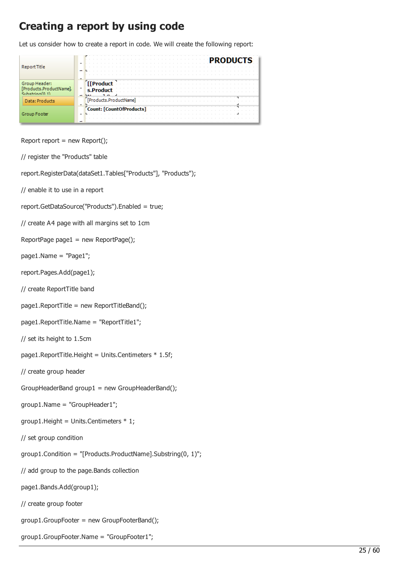### Creating a report by using code

Let us consider how to create a report in code. We will create the following report:

| ReportTitle                                  | <b>PRODUCTS</b>               |
|----------------------------------------------|-------------------------------|
| Gro<br>ducts.ProductNamel.<br>Cubatrina(0.1) | <b>I</b> Product<br>s.Product |
| Data: Products                               | [Products.ProductName]        |
| Group Footer                                 | Count: [CountOfProducts]      |

```
Report report = new Report();
```
// register the "Products" table

report.RegisterData(dataSet1.Tables["Products"], "Products");

- // enable it to use in a report
- report.GetDataSource("Products").Enabled = true;

```
// create A4 page with all margins set to 1cm
```
- ReportPage page1 = new ReportPage();
- page1.Name = "Page1";
- report.Pages.Add(page1);
- // create ReportTitle band
- page1.ReportTitle = new ReportTitleBand();
- page1.ReportTitle.Name = "ReportTitle1";
- // set its height to 1.5cm
- page1.ReportTitle.Height = Units.Centimeters  $*$  1.5f;
- // create group header
- $GroupHeaderBand group1 = new GroupHeaderBand();$
- group1.Name = "GroupHeader1";
- group1.Height = Units.Centimeters  $* 1;$
- // set group condition
- group1.Condition = "[Products.ProductName].Substring(0, 1)";
- // add group to the page.Bands collection
- page1.Bands.Add(group1);
- // create group footer
- group1.GroupFooter = new GroupFooterBand();
- group1.GroupFooter.Name = "GroupFooter1";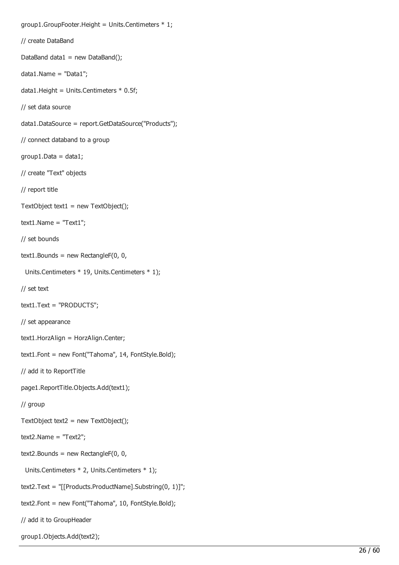```
group1.GroupFooter.Height = Units.Centimeters * 1;
// create DataBand
DataBand data1 = new DataBand();
data1.Name = "Data1";
data1.Height = Units.Centimeters * 0.5f;
// set data source
data1.DataSource = report.GetDataSource("Products");
// connect databand to a group
group1.Data = data1;// create "Text" objects
// report title
TextObject text1 = new TextObject();
text1.Name = "Text1";
// set bounds
text1.Bounds = new RectangleF(0, 0, 1)Units.Centimeters * 19, Units.Centimeters * 1);
// set text
text1.Text = "PRODUCTS";
// set appearance
text1.HorzAlign = HorzAlign.Center;
text1.Font = new Font("Tahoma", 14, FontStyle.Bold);
// add it to ReportTitle
page1.ReportTitle.Objects.Add(text1);
// group
TextObject text2 = new TextObject();
text2.Name = "Text2";
text2.Bounds = new RectangleF(0, 0, 0)Units.Centimeters * 2, Units.Centimeters * 1);
text2.Text = "[[Products.ProductName].Substring(0, 1)]";
text2.Font = new Font("Tahoma", 10, FontStyle.Bold);
// add it to GroupHeader
```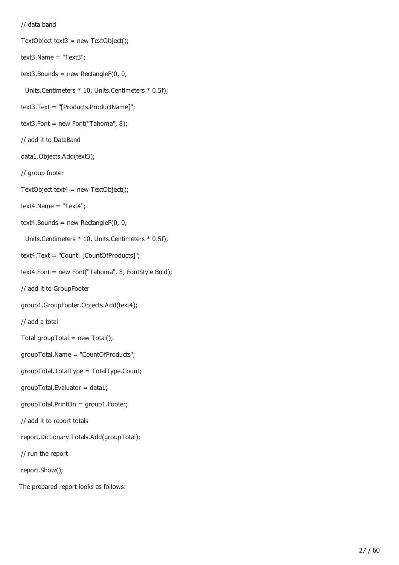```
// data band
```

```
TextObject text3 = new TextObject();
```
 $text3.Name = "Text3";$ 

```
text3.Bounds = new RectangleF(0, 0, 0)
```

```
Units.Centimeters * 10, Units.Centimeters * 0.5f);
```
- text3.Text = "[Products.ProductName]";
- text3.Font = new Font("Tahoma",  $8$ );
- // add it to DataBand
- data1.Objects.Add(text3);
- // group footer
- TextObject text $4 = new TextObject()$ ;
- $text4.Name = "Text4";$
- $text4.Bounds = new RectangleF(0, 0, 0)$
- Units.Centimeters \* 10, Units.Centimeters \* 0.5f);
- text4.Text = "Count: [CountOfProducts]";
- text4.Font = new Font("Tahoma", 8, FontStyle.Bold);
- // add it to GroupFooter
- group1.GroupFooter.Objects.Add(text4);
- // add a total
- Total groupTotal = new Total();
- groupTotal.Name = "CountOfProducts";
- groupTotal.TotalType = TotalType.Count;
- groupTotal.Evaluator = data1;
- groupTotal.PrintOn = group1.Footer;
- // add it to report totals
- report.Dictionary.Totals.Add(groupTotal);
- // run the report
- report.Show();
- The prepared report looks as follows: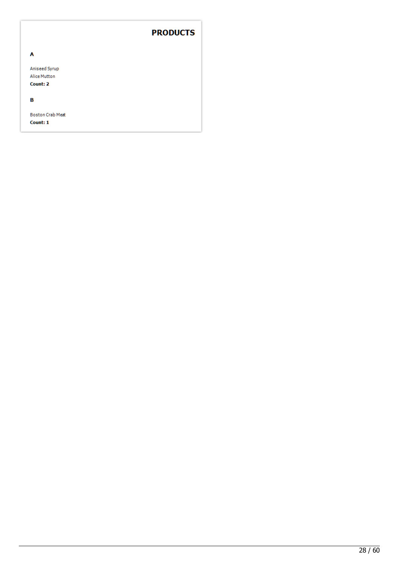#### **PRODUCTS**

| A                       |
|-------------------------|
| Aniseed Syrup           |
| Alice Mutton            |
| Count: 2                |
|                         |
| в                       |
|                         |
| <b>Boston Crab Meat</b> |

Count: 1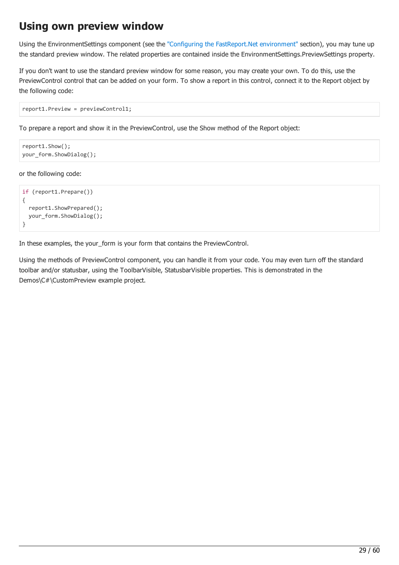#### Using own preview window

Using the EnvironmentSettings component (see the "Configuring the [FastReport.Net](#page-17-0) environment" section), you may tune up the standard preview window. The related properties are contained inside the EnvironmentSettings.PreviewSettings property.

If you don't want to use the standard preview window for some reason, you may create your own. To do this, use the PreviewControl control that can be added on your form. To show a report in this control, connect it to the Report object by the following code:

```
report1.Preview = previewControl1;
```
To prepare a report and show it in the PreviewControl, use the Show method of the Report object:

```
report1.Show();
your_form.ShowDialog();
```
or the following code:

```
if (report1.Prepare())
{
 report1.ShowPrepared();
 your_form.ShowDialog();
}
```
In these examples, the your\_form is your form that contains the PreviewControl.

Using the methods of PreviewControl component, you can handle it from your code. You may even turn off the standard toolbar and/or statusbar, using the ToolbarVisible, StatusbarVisible properties. This is demonstrated in the Demos\C#\CustomPreview example project.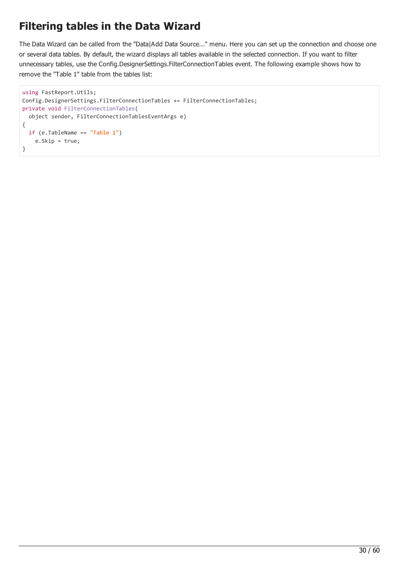# Filtering tables in the Data Wizard

The Data Wizard can be called from the "Data|Add Data Source..." menu. Here you can set up the connection and choose one or several data tables. By default, the wizard displays all tables available in the selected connection. If you want to filter unnecessary tables, use the Config.DesignerSettings.FilterConnectionTables event. The following example shows how to remove the "Table 1" table from the tables list:

```
using FastReport.Utils;
Config.DesignerSettings.FilterConnectionTables += FilterConnectionTables;
private void FilterConnectionTables(
  object sender, FilterConnectionTablesEventArgs e)
{
  if (e.TableName == "Table 1")
    e.Skip = true;
}
```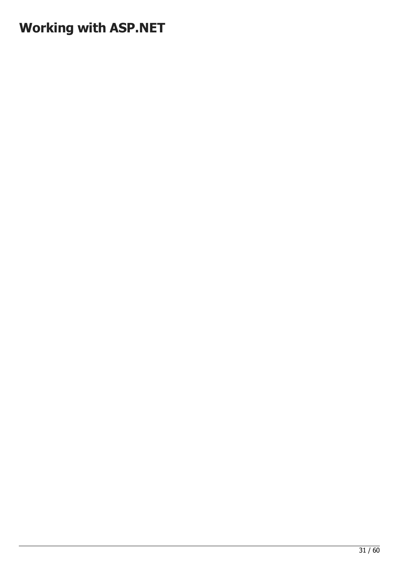# Working with ASP.NET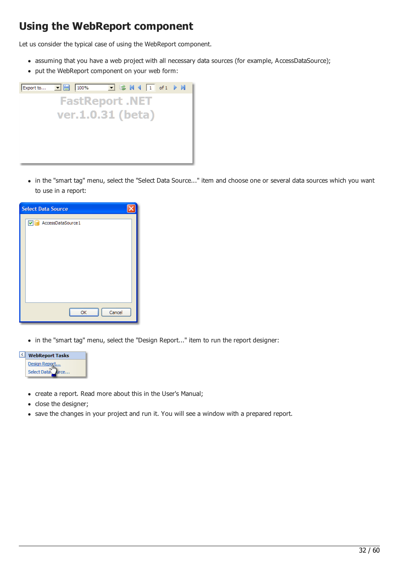# Using the WebReport component

Let us consider the typical case of using the WebReport component.

- assuming that you have a web project with all necessary data sources (for example, AccessDataSource);
- put the WebReport component on your web form:



in the "smart tag" menu, select the "Select Data Source..." item and choose one or several data sources which you want to use in a report:

| <b>Select Data Source</b> |
|---------------------------|
| AccessDataSource1<br>▿    |
|                           |
|                           |
|                           |
|                           |
|                           |
|                           |
|                           |
|                           |
| Cancel<br>OK              |
|                           |

in the "smart tag" menu, select the "Design Report..." item to run the report designer:



- create a report. Read more about this in the User's Manual;
- close the designer;
- save the changes in your project and run it. You will see a window with a prepared report.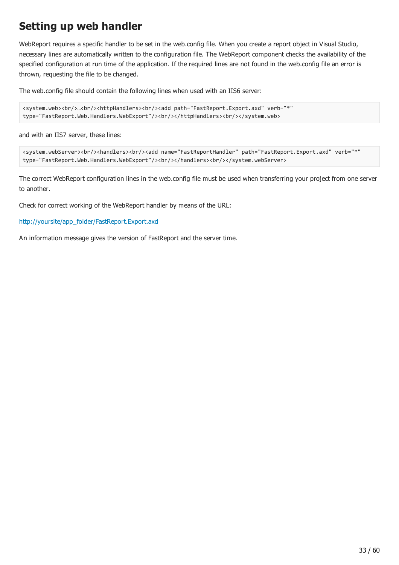# Setting up web handler

WebReport requires a specific handler to be set in the web.config file. When you create a report object in Visual Studio, necessary lines are automatically written to the configuration file. The WebReport component checks the availability of the specified configuration at run time of the application. If the required lines are not found in the web.config file an error is thrown, requesting the file to be changed.

The web.config file should contain the following lines when used with an IIS6 server:

```
<system.web><br/>>h/>...<br/>ktpHandlers><br/>>br/>><add path="FastReport.Export.axd" verb="*"
type="FastReport.Web.Handlers.WebExport"/><br/>>httpHandlers><br/>>ht/></system.web>
```
and with an IIS7 server, these lines:

```
<system.webServer><br/><handlers><br/>>ht><add name="FastReportHandler" path="FastReport.Export.axd" verb="*"
type="FastReport.Web.Handlers.WebExport"/><br/></handlers><br/></system.webServer>
```
The correct WebReport configuration lines in the web.config file must be used when transferring your project from one server to another.

Check for correct working of the WebReport handler by means of the URL:

[http://yoursite/app\\_folder/FastReport.Export.axd](http://yoursite/app_folder/FastReport.Export.axd)

An information message gives the version of FastReport and the server time.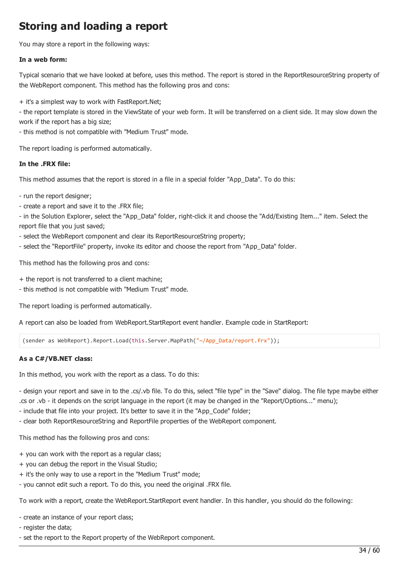# <span id="page-33-0"></span>Storing and loading a report

You may store a report in the following ways:

#### In a web form:

Typical scenario that we have looked at before, uses this method. The report is stored in the ReportResourceString property of the WebReport component. This method has the following pros and cons:

+ it's a simplest way to work with FastReport.Net;

- the report template is stored in the ViewState of your web form. It will be transferred on a client side. It may slow down the work if the report has a big size;

- this method is not compatible with "Medium Trust" mode.

The report loading is performed automatically.

#### In the .FRX file:

This method assumes that the report is stored in a file in a special folder "App\_Data". To do this:

- run the report designer;
- create a report and save it to the .FRX file;

- in the Solution Explorer, select the "App\_Data" folder, right-click it and choose the "Add/Existing Item..." item. Select the report file that you just saved;

- select the WebReport component and clear its ReportResourceString property;
- select the "ReportFile" property, invoke its editor and choose the report from "App\_Data" folder.

This method has the following pros and cons:

- + the report is not transferred to a client machine;
- this method is not compatible with "Medium Trust" mode.

The report loading is performed automatically.

A report can also be loaded from WebReport.StartReport event handler. Example code in StartReport:

(sender as WebReport).Report.Load(this.Server.MapPath("~/App\_Data/report.frx"));

#### As a C#/VB.NET class:

In this method, you work with the report as a class. To do this:

- design your report and save in to the .cs/.vb file. To do this, select "file type" in the "Save" dialog. The file type maybe either .cs or .vb - it depends on the script language in the report (it may be changed in the "Report/Options..." menu);

- include that file into your project. It's better to save it in the "App\_Code" folder;

- clear both ReportResourceString and ReportFile properties of the WebReport component.

This method has the following pros and cons:

- + you can work with the report as a regular class;
- + you can debug the report in the Visual Studio;
- + it's the only way to use a report in the "Medium Trust" mode;
- you cannot edit such a report. To do this, you need the original .FRX file.

To work with a report, create the WebReport.StartReport event handler. In this handler, you should do the following:

- create an instance of your report class;

- register the data;
- set the report to the Report property of the WebReport component.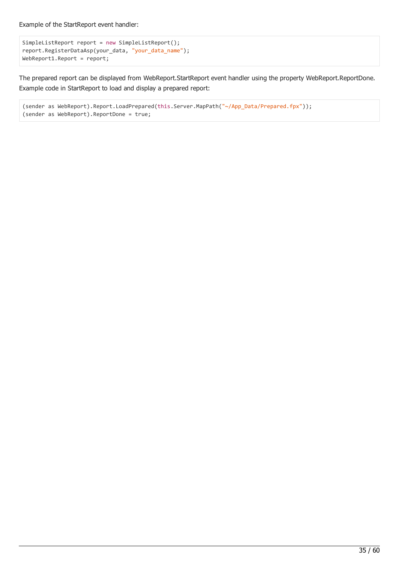Example of the StartReport event handler:

```
SimpleListReport report = new SimpleListReport();
report.RegisterDataAsp(your_data, "your_data_name");
WebReport1.Report = report;
```
The prepared report can be displayed from WebReport.StartReport event handler using the property WebReport.ReportDone. Example code in StartReport to load and display a prepared report:

```
(sender as WebReport).Report.LoadPrepared(this.Server.MapPath("~/App_Data/Prepared.fpx"));
(sender as WebReport).ReportDone = true;
```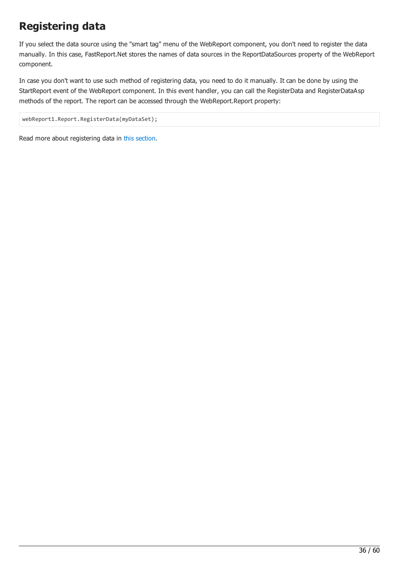# Registering data

If you select the data source using the "smart tag" menu of the WebReport component, you don't need to register the data manually. In this case, FastReport.Net stores the names of data sources in the ReportDataSources property of the WebReport component.

In case you don't want to use such method of registering data, you need to do it manually. It can be done by using the StartReport event of the WebReport component. In this event handler, you can call the RegisterData and RegisterDataAsp methods of the report. The report can be accessed through the WebReport.Report property:

webReport1.Report.RegisterData(myDataSet);

Read more about registering data in this [section.](#page-12-0)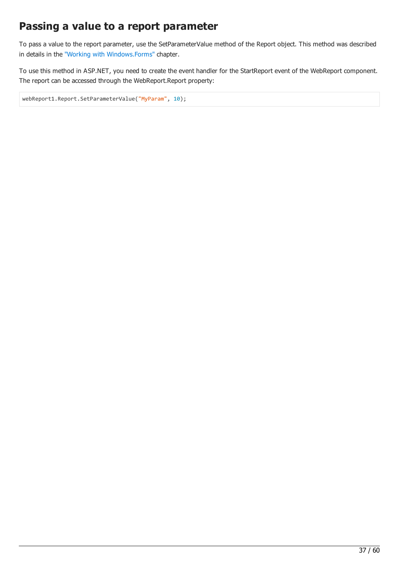# Passing a value to a report parameter

To pass a value to the report parameter, use the SetParameterValue method of the Report object. This method was described in details in the "Working with [Windows.Forms"](#page-13-0) chapter.

To use this method in ASP.NET, you need to create the event handler for the StartReport event of the WebReport component. The report can be accessed through the WebReport.Report property:

webReport1.Report.SetParameterValue("MyParam", 10);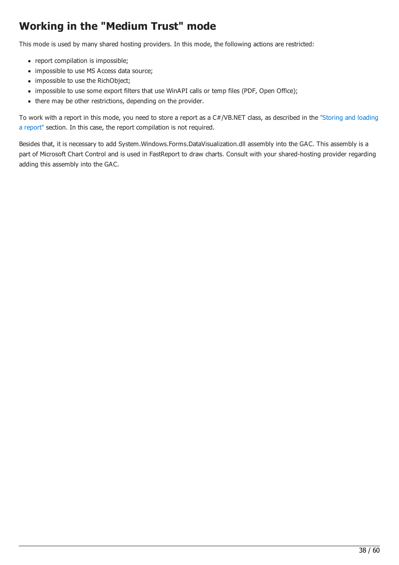# Working in the "Medium Trust" mode

This mode is used by many shared hosting providers. In this mode, the following actions are restricted:

- report compilation is impossible;
- impossible to use MS Access data source;
- impossible to use the RichObject;
- impossible to use some export filters that use WinAPI calls or temp files (PDF, Open Office);
- there may be other restrictions, depending on the provider.

To work with a report in this mode, you need to store a report as a [C#/VB.NET](#page-33-0) class, as described in the "Storing and loading a report" section. In this case, the report compilation is not required.

Besides that, it is necessary to add System.Windows.Forms.DataVisualization.dll assembly into the GAC. This assembly is a part of Microsoft Chart Control and is used in FastReport to draw charts. Consult with your shared-hosting provider regarding adding this assembly into the GAC.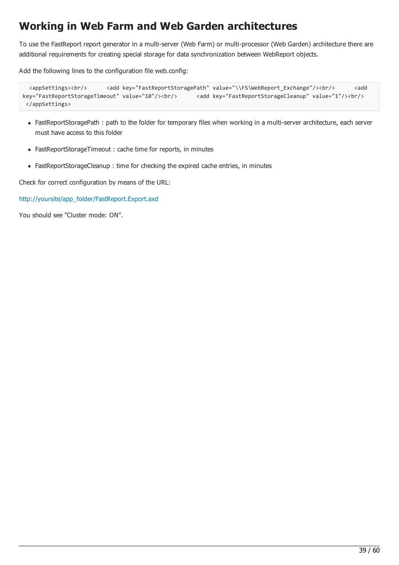# Working in Web Farm and Web Garden architectures

To use the FastReport report generator in a multi-server (Web Farm) or multi-processor (Web Garden) architecture there are additional requirements for creating special storage for data synchronization between WebReport objects.

Add the following lines to the configuration file web.config:

```
<appSettings><br/>>br/>
</add key="FastReportStoragePath" value="\\FS\WebReport Exchange"/><br/><br/>
</add
key="FastReportStorageTimeout" value="10"/><br/>>br/>
<add key="FastReportStorageCleanup" value="1"/><br/>br/>
</appSettings>
```
- FastReportStoragePath : path to the folder for temporary files when working in a multi-server architecture, each server must have access to this folder
- FastReportStorageTimeout : cache time for reports, in minutes
- FastReportStorageCleanup : time for checking the expired cache entries, in minutes

Check for correct configuration by means of the URL:

[http://yoursite/app\\_folder/FastReport.Export.axd](http://yoursite/app_folder/FastReport.Export.axd)

You should see "Cluster mode: ON".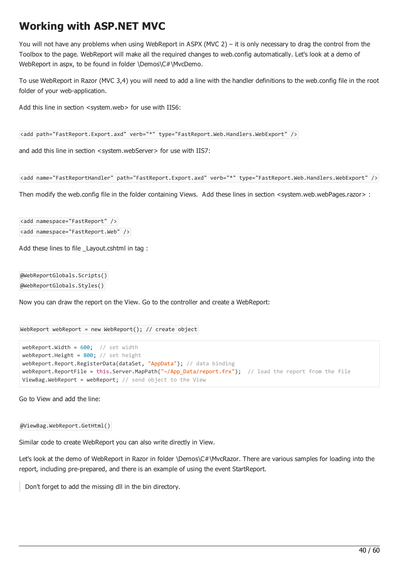# Working with ASP.NEТ MVC

You will not have any problems when using WebReport in ASPX (MVC 2) – it is only necessary to drag the control from the Toolbox to the page. WebReport will make all the required changes to web.config automatically. Let's look at a demo of WebReport in aspx, to be found in folder \Demos\C#\MvcDemo.

To use WebReport in Razor (MVC 3,4) you will need to add a line with the handler definitions to the web.config file in the root folder of your web-application.

Add this line in section <system.web> for use with IIS6:

<add path="FastReport.Export.axd" verb="\*" type="FastReport.Web.Handlers.WebExport" />

and add this line in section <system.webServer> for use with IIS7:

```
<add name="FastReportHandler" path="FastReport.Export.axd" verb="*" type="FastReport.Web.Handlers.WebExport" />
```
Then modify the web.config file in the folder containing Views. Add these lines in section <system.web.webPages.razor> :

<add namespace="FastReport" /> <add namespace="FastReport.Web" />

Add these lines to file Lavout.cshtml in tag :

@WebReportGlobals.Scripts() @WebReportGlobals.Styles()

Now you can draw the report on the View. Go to the controller and create a WebReport:

```
WebReport webReport = new WebReport(); // create object
```

```
webReport.Width = 600; // set width
webReport.Height = 800; // set height
webReport.Report.RegisterData(dataSet, "AppData"); // data binding
webReport.ReportFile = this.Server.MapPath("~/App_Data/report.frx"); // load the report from the file
ViewBag.WebReport = webReport; // send object to the View
```
Go to View and add the line:

@ViewBag.WebReport.GetHtml()

Similar code to create WebReport you can also write directly in View.

Let's look at the demo of WebReport in Razor in folder \Demos\C#\MvcRazor. There are various samples for loading into the report, including pre-prepared, and there is an example of using the event StartReport.

Don't forget to add the missing dll in the bin directory.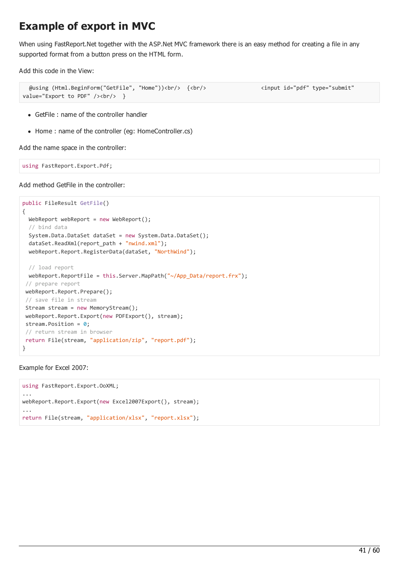# Example of export in MVC

When using FastReport.Net together with the ASP.Net MVC framework there is an easy method for creating a file in any supported format from a button press on the HTML form.

Add this code in the View:

```
@using (Html.BeginForm("GetFile", "Home"))<br/> {<br/> <input id="pdf" type="submit"
value="Export to PDF" \left\langle \frac{\partial^2 u}{\partial x^2} \right\rangle
```
- GetFile : name of the controller handler
- Home : name of the controller (eq: HomeController.cs)

Add the name space in the controller:

using FastReport.Export.Pdf;

Add method GetFile in the controller:

```
public FileResult GetFile()
{
 WebReport webReport = new WebReport();
 // bind data
 System.Data.DataSet dataSet = new System.Data.DataSet();
 dataSet.ReadXml(report_path + "nwind.xml");
 webReport.Report.RegisterData(dataSet, "NorthWind");
 // load report
 webReport.ReportFile = this.Server.MapPath("~/App_Data/report.frx");
// prepare report
webReport.Report.Prepare();
// save file in stream
Stream stream = new MemoryStream();
webReport.Report.Export(new PDFExport(), stream);
stream.Position = 0;
// return stream in browser
return File(stream, "application/zip", "report.pdf");
}
```
Example for Excel 2007:

```
using FastReport.Export.OoXML;
...
webReport.Report.Export(new Excel2007Export(), stream);
...
return File(stream, "application/xlsx", "report.xlsx");
```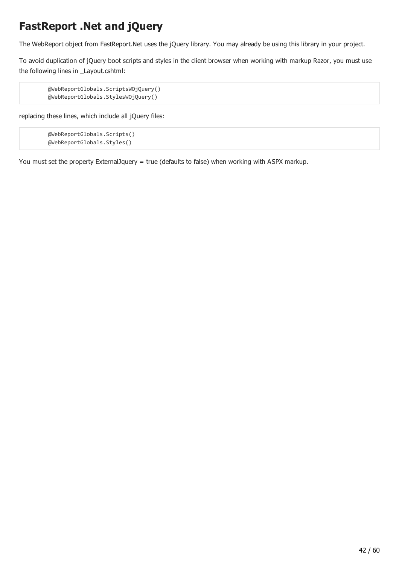# FastReport .Net and jQuery

The WebReport object from FastReport.Net uses the jQuery library. You may already be using this library in your project.

To avoid duplication of jQuery boot scripts and styles in the client browser when working with markup Razor, you must use the following lines in \_Layout.cshtml:

```
@WebReportGlobals.ScriptsWOjQuery()
@WebReportGlobals.StylesWOjQuery()
```
replacing these lines, which include all jQuery files:

```
@WebReportGlobals.Scripts()
@WebReportGlobals.Styles()
```
You must set the property ExternalJquery = true (defaults to false) when working with ASPX markup.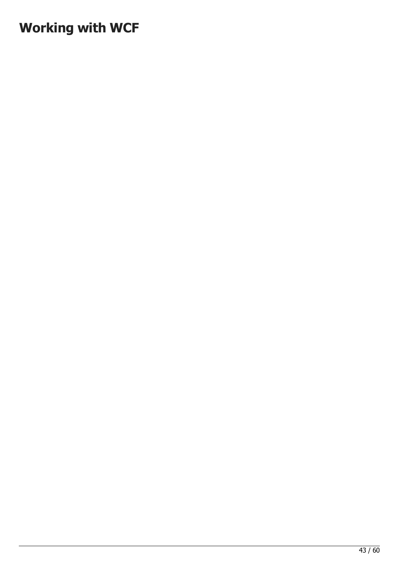# Working with WCF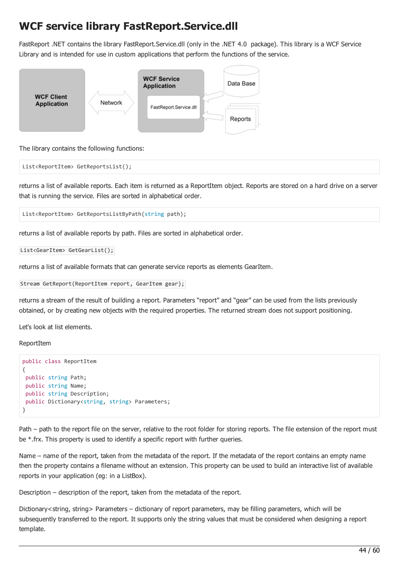### WCF service library FastReport.Service.dll

FastReport .NET contains the library FastReport.Service.dll (only in the .NET 4.0 package). This library is a WCF Service Library and is intended for use in custom applications that perform the functions of the service.



The library contains the following functions:

List<ReportItem> GetReportsList();

returns a list of available reports. Each item is returned as a ReportItem object. Reports are stored on a hard drive on a server that is running the service. Files are sorted in alphabetical order.

List<ReportItem> GetReportsListByPath(string path);

returns a list of available reports by path. Files are sorted in alphabetical order.

```
List<GearItem> GetGearList();
```
returns a list of available formats that can generate service reports as elements GearItem.

Stream GetReport(ReportItem report, GearItem gear);

returns a stream of the result of building a report. Parameters "report" and "gear" can be used from the lists previously obtained, or by creating new objects with the required properties. The returned stream does not support positioning.

Let's look at list elements.

ReportItem

```
public class ReportItem
{
public string Path;
public string Name;
public string Description;
public Dictionary<string, string> Parameters;
}
```
Path – path to the report file on the server, relative to the root folder for storing reports. The file extension of the report must be \*.frx. This property is used to identify a specific report with further queries.

Name – name of the report, taken from the metadata of the report. If the metadata of the report contains an empty name then the property contains a filename without an extension. This property can be used to build an interactive list of available reports in your application (eg: in a ListBox).

Description – description of the report, taken from the metadata of the report.

Dictionary<string, string> Parameters – dictionary of report parameters, may be filling parameters, which will be subsequently transferred to the report. It supports only the string values that must be considered when designing a report template.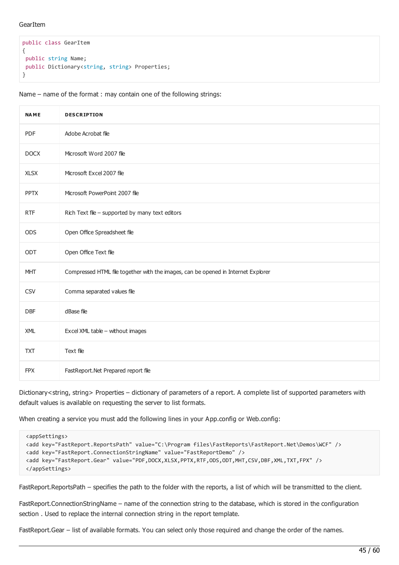#### **GearItem**

```
public class GearItem
{
public string Name;
public Dictionary<string, string> Properties;
}
```
Name – name of the format : may contain one of the following strings:

| <b>NAME</b> | <b>DESCRIPTION</b>                                                                |
|-------------|-----------------------------------------------------------------------------------|
| PDF         | Adobe Acrobat file                                                                |
| <b>DOCX</b> | Microsoft Word 2007 file                                                          |
| <b>XLSX</b> | Microsoft Excel 2007 file                                                         |
| <b>PPTX</b> | Microsoft PowerPoint 2007 file                                                    |
| <b>RTF</b>  | Rich Text file - supported by many text editors                                   |
| <b>ODS</b>  | Open Office Spreadsheet file                                                      |
| ODT         | Open Office Text file                                                             |
| <b>MHT</b>  | Compressed HTML file together with the images, can be opened in Internet Explorer |
| <b>CSV</b>  | Comma separated values file                                                       |
| DBF         | dBase file                                                                        |
| <b>XML</b>  | Excel XML table - without images                                                  |
| <b>TXT</b>  | Text file                                                                         |
| <b>FPX</b>  | FastReport.Net Prepared report file                                               |

Dictionary<string, string> Properties – dictionary of parameters of a report. A complete list of supported parameters with default values is available on requesting the server to list formats.

When creating a service you must add the following lines in your App.config or Web.config:

```
<appSettings>
<add key="FastReport.ReportsPath" value="C:\Program files\FastReports\FastReport.Net\Demos\WCF" />
<add key="FastReport.ConnectionStringName" value="FastReportDemo" />
<add key="FastReport.Gear" value="PDF,DOCX,XLSX,PPTX,RTF,ODS,ODT,MHT,CSV,DBF,XML,TXT,FPX" />
</appSettings>
```
FastReport.ReportsPath – specifies the path to the folder with the reports, a list of which will be transmitted to the client.

FastReport.ConnectionStringName – name of the connection string to the database, which is stored in the configuration section . Used to replace the internal connection string in the report template.

FastReport.Gear – list of available formats. You can select only those required and change the order of the names.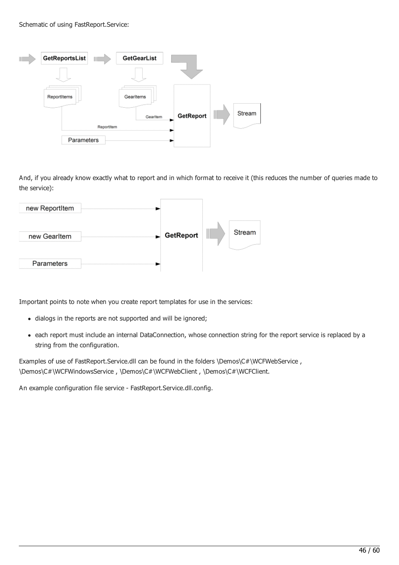#### Schematic of using FastReport.Service:



And, if you already know exactly what to report and in which format to receive it (this reduces the number of queries made to the service):



Important points to note when you create report templates for use in the services:

- dialogs in the reports are not supported and will be ignored;
- each report must include an internal DataConnection, whose connection string for the report service is replaced by a string from the configuration.

Examples of use of FastReport.Service.dll can be found in the folders \Demos\C#\WCFWebService , \Demos\C#\WCFWindowsService , \Demos\C#\WCFWebClient , \Demos\C#\WCFClient.

An example configuration file service - FastReport.Service.dll.config.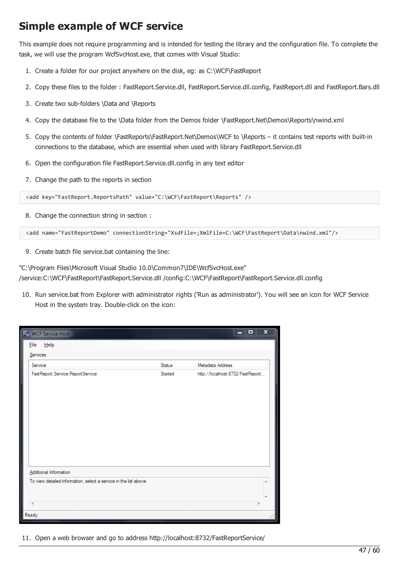### Simple example of WCF service

This example does not require programming and is intended for testing the library and the configuration file. To complete the task, we will use the program WcfSvcHost.exe, that comes with Visual Studio:

- 1. Create a folder for our project anywhere on the disk, eg: as C:\WCF\FastReport
- 2. Copy these files to the folder : FastReport.Service.dll, FastReport.Service.dll.config, FastReport.dll and FastReport.Bars.dll
- 3. Create two sub-folders \Data and \Reports
- 4. Copy the database file to the \Data folder from the Demos folder \FastReport.Net\Demos\Reports\nwind.xml
- 5. Copy the contents of folder \FastReports\FastReport.Net\Demos\WCF to \Reports it contains test reports with built-in connections to the database, which are essential when used with library FastReport.Service.dll
- 6. Open the configuration file FastReport.Service.dll.config in any text editor
- 7. Change the path to the reports in section

<add key="FastReport.ReportsPath" value="C:\WCF\FastReport\Reports" />

8. Change the connection string in section :

<add name="FastReportDemo" connectionString="XsdFile=;XmlFile=C:\WCF\FastReport\Data\nwind.xml"/>

9. Create batch file service.bat containing the line:

"C:\Program Files\Microsoft Visual Studio 10.0\Common7\IDE\WcfSvcHost.exe"

/service:C:\WCF\FastReport\FastReport.Service.dll /config:C:\WCF\FastReport\FastReport.Service.dll.config

10. Run service.bat from Explorer with administrator rights ('Run as administrator'). You will see an icon for WCF Service Host in the system tray. Double-click on the icon:

|             | <b>NEW WCF Service Host</b>                                       |         | Ξ<br>×<br>−                      |
|-------------|-------------------------------------------------------------------|---------|----------------------------------|
| <b>File</b> | Help                                                              |         |                                  |
| Services    |                                                                   |         |                                  |
| Service     |                                                                   | Status  | Metadata Address                 |
|             | FastReport.Service.ReportService                                  | Started | http://localhost:8732/FastReport |
|             | Additional Information                                            |         |                                  |
|             | To view detailed information, select a service in the list above. |         |                                  |
| Ready       |                                                                   |         |                                  |

11. Open a web browser and go to address http://localhost:8732/FastReportService/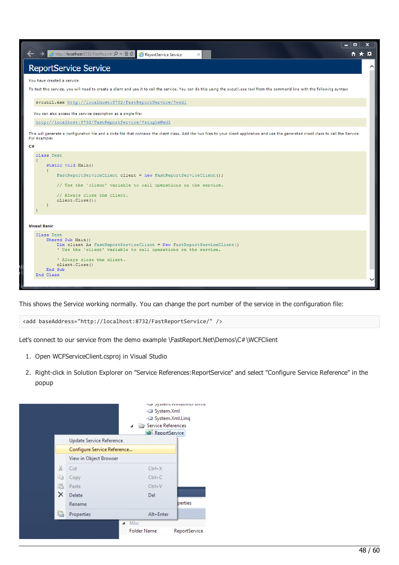| - 0<br>$\boldsymbol{\mathsf{x}}$<br><mark>②</mark> http:// <b>localhost</b> :8732/FastReport: Q <del>▼</del> 图 ♂<br>☆★☆<br>ReportService Service<br>$\times$                                                                                        |
|-----------------------------------------------------------------------------------------------------------------------------------------------------------------------------------------------------------------------------------------------------|
| <b>ReportService Service</b>                                                                                                                                                                                                                        |
| You have created a service.                                                                                                                                                                                                                         |
| To test this service, you will need to create a client and use it to call the service. You can do this using the svcutil.exe tool from the command line with the following syntax:                                                                  |
| svcutil.exe http://localhost:8732/FastReportService/?wsdl                                                                                                                                                                                           |
| You can also access the service description as a single file:                                                                                                                                                                                       |
| http://localhost:8732/FastReportService/?singleWsdl                                                                                                                                                                                                 |
| This will generate a configuration file and a code file that contains the client class. Add the two files to your client application and use the generated client class to call the Service.<br>For example:                                        |
| C#                                                                                                                                                                                                                                                  |
| class Test<br>static void Main ()<br>$\left\{ \right.$<br>FastReportServiceClient client = new FastReportServiceClient () ;<br>// Use the 'client' variable to call operations on the service.<br>// Always close the client.<br>client.Close();    |
| <b>Visual Basic</b>                                                                                                                                                                                                                                 |
| Class Test<br>Shared Sub Main ()<br>Dim client As FastReportServiceClient = New FastReportServiceClient()<br>' Use the 'client' variable to call operations on the service.<br>' Always close the client.<br>client.Close()<br>End Sub<br>End Class |

This shows the Service working normally. You can change the port number of the service in the configuration file:

```
<add baseAddress="http://localhost:8732/FastReportService/" />
```
Let's connect to our service from the demo example \FastReport.Net\Demos\C#\WCFClient

- 1. Open WCFServiceClient.csproj in Visual Studio
- 2. Right-click in Solution Explorer on "Service References:ReportService" and select "Configure Service Reference" in the popup

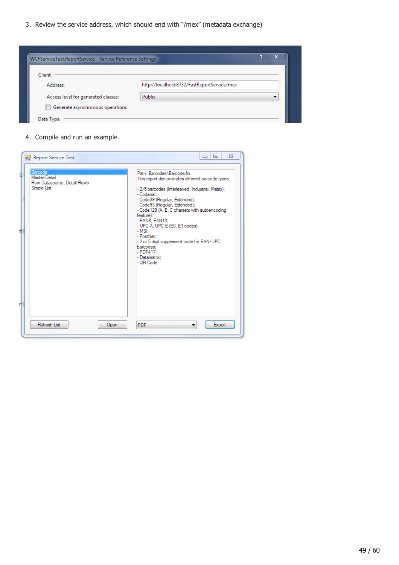3. Review the service address, which should end with "/mex" (metadata exchange)

| WCFServiceTest.ReportService - Service Reference Settings |                                             | æ |
|-----------------------------------------------------------|---------------------------------------------|---|
| Client                                                    |                                             |   |
| Address:                                                  | http://localhost:8732/FastReportService/mex |   |
| Access level for generated classes:                       | Public                                      |   |
| Generate asynchronous operations                          |                                             |   |
| Data Type                                                 |                                             |   |

4. Compile and run an example.

| Report Service Test                                                    | $\Sigma$<br>同<br>$\Box$                                                                                                                                                                                                                                                                                                                                                                                                                                                  |
|------------------------------------------------------------------------|--------------------------------------------------------------------------------------------------------------------------------------------------------------------------------------------------------------------------------------------------------------------------------------------------------------------------------------------------------------------------------------------------------------------------------------------------------------------------|
| Barcode<br>Master-Detail<br>Row Datasource, Detail Rows<br>Simple List | Path: Barcodes\Barcode.frx<br>This report demonstrates different barcode types:<br>- 2/5 barcodes (Interleaved, Industrial, Matrix);<br>- Codabar:<br>- Code39 (Regular, Extended);<br>- Code93 (Regular, Extended);<br>- Code 128 (A, B, C charsets with autoencoding<br>feature);<br>- EAN8, EAN13:<br>- UPC-A, UPC-E (E0, E1 codes);<br>$-MSE$<br>- PostNet:<br>- 2 or 5 digit supplement code for EAN/UPC<br>barcodes:<br>$-$ PDF417:<br>- Datamatrix:<br>- QR Code. |
| Refresh List<br>Open                                                   | Export<br>PDF.                                                                                                                                                                                                                                                                                                                                                                                                                                                           |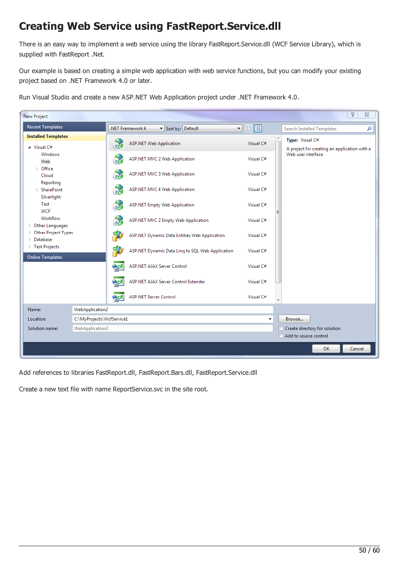# Creating Web Service using FastReport.Service.dll

There is an easy way to implement a web service using the library FastReport.Service.dll (WCF Service Library), which is supplied with FastReport .Net.

Our example is based on creating a simple web application with web service functions, but you can modify your existing project based on .NET Framework 4.0 or later.

 $\sqrt{2}$  $\Sigma$ New Project **Recent Templates**  $\neg$   $\blacksquare$ NET Framework 4 Sort by: Default Search Installed Templates م **Installed Templates** Type: Visual C# **For ASP.NET Web Application** Visual C# 4 Visual C# A project for creating an application with a *Mindower* Web user interface **ASP.NET MVC 2 Web Application** Visual C# Web  $\triangleright$  Office **ASP.NET MVC 3 Web Application** Visual C# Cloud Reporting **ASP.NET MVC 4 Web Application** Visual C# ▷ SharePoint Silverlight Test **ASP.NET Empty Web Application** Vicual C# **WCF** Workflow ASP.NET MVC 2 Empty Web Application Visual C# D Other Languages ▷ Other Project Types ASP.NET Dynamic Data Entities Web Application Visual C# Database ▷ Test Projects ASP.NET Dynamic Data Ling to SQL Web Application Visual C# **Online Templates** ASP.NET AJAX Server Control Visual C# ASP.NET AJAX Server Control Extender Visual C# ect<sup></sup> **ASP.NET Server Control** Visual C# Name: WebApplication2 Location: C:\MyProjects\WcfService1 Browse... WebApplication2 Create directory for solution Solution name: Add to source control OK Cancel

Run Visual Studio and create a new ASP.NET Web Application project under .NET Framework 4.0.

Add references to libraries FastReport.dll, FastReport.Bars.dll, FastReport.Service.dll

Create a new text file with name ReportService.svc in the site root.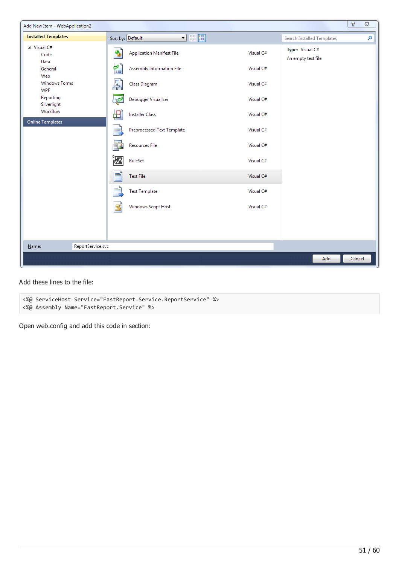

```
Add these lines to the file:
```

```
<%@ ServiceHost Service="FastReport.Service.ReportService" %>
<%@ Assembly Name="FastReport.Service" %>
```
Open web.config and add this code in section: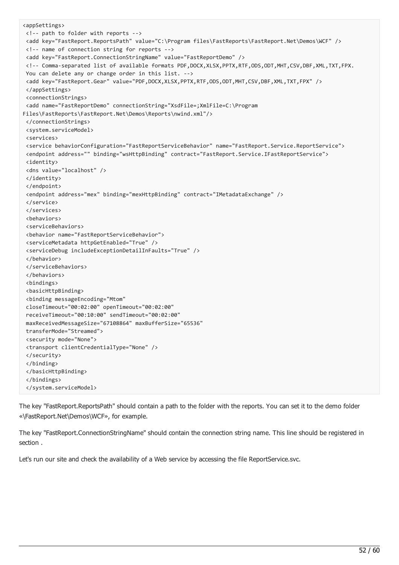```
<appSettings>
<!-- path to folder with reports -->
<add key="FastReport.ReportsPath" value="C:\Program files\FastReports\FastReport.Net\Demos\WCF" />
<!-- name of connection string for reports -->
<add key="FastReport.ConnectionStringName" value="FastReportDemo" />
<!-- Comma-separated list of available formats PDF,DOCX,XLSX,PPTX,RTF,ODS,ODT,MHT,CSV,DBF,XML,TXT,FPX.
You can delete any or change order in this list. -->
<add key="FastReport.Gear" value="PDF,DOCX,XLSX,PPTX,RTF,ODS,ODT,MHT,CSV,DBF,XML,TXT,FPX" />
</appSettings>
<connectionStrings>
<add name="FastReportDemo" connectionString="XsdFile=;XmlFile=C:\Program
Files\FastReports\FastReport.Net\Demos\Reports\nwind.xml"/>
</connectionStrings>
<system.serviceModel>
<services>
<service behaviorConfiguration="FastReportServiceBehavior" name="FastReport.Service.ReportService">
<endpoint address="" binding="wsHttpBinding" contract="FastReport.Service.IFastReportService">
<identity>
<dns value="localhost" />
</identity>
</endpoint>
<endpoint address="mex" binding="mexHttpBinding" contract="IMetadataExchange" />
</service>
</services>
<behaviors>
<serviceBehaviors>
<behavior name="FastReportServiceBehavior">
<serviceMetadata httpGetEnabled="True" />
<serviceDebug includeExceptionDetailInFaults="True" />
</behavior>
</serviceBehaviors>
</behaviors>
<bindings>
<basicHttpBinding>
<binding messageEncoding="Mtom"
closeTimeout="00:02:00" openTimeout="00:02:00"
receiveTimeout="00:10:00" sendTimeout="00:02:00"
maxReceivedMessageSize="67108864" maxBufferSize="65536"
transferMode="Streamed">
<security mode="None">
<transport clientCredentialType="None" />
</security>
</binding>
</basicHttpBinding>
</bindings>
</system.serviceModel>
```
The key "FastReport.ReportsPath" should contain a path to the folder with the reports. You can set it to the demo folder «\FastReport.Net\Demos\WCF», for example.

The key "FastReport.ConnectionStringName" should contain the connection string name. This line should be registered in section .

Let's run our site and check the availability of a Web service by accessing the file ReportService.svc.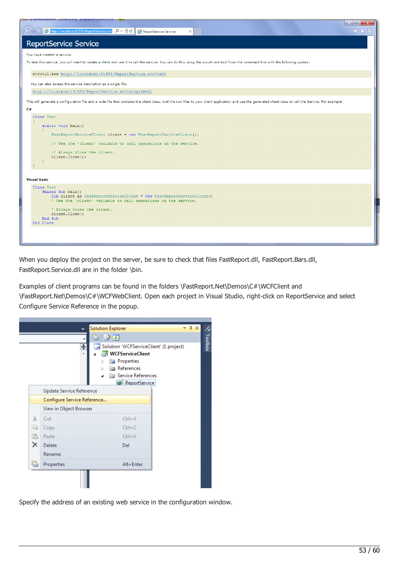| $\begin{array}{c c c c c} \hline \multicolumn{3}{c }{\textbf{--}} & \multicolumn{3}{c }{\textbf{--}} \end{array}$<br>$\mathbf{x}$<br>Ahttp://localhost:31553/ReportService.svc Q → 図 C<br>偷 ☆ 戀<br>ReportService Service<br>$\times$ |
|--------------------------------------------------------------------------------------------------------------------------------------------------------------------------------------------------------------------------------------|
| <b>ReportService Service</b>                                                                                                                                                                                                         |
| You have created a service.                                                                                                                                                                                                          |
| To test this service, you will need to create a client and use it to call the service. You can do this using the svcutil.exe tool from the command line with the following syntax:                                                   |
| svcutil.exe http://localhost:31553/ReportService.svc?wsdl                                                                                                                                                                            |
| You can also access the service description as a single file:                                                                                                                                                                        |
| http://localhost:31553/ReportService.svc?singleWsdl                                                                                                                                                                                  |
| This will generate a configuration file and a code file that contains the client class. Add the two files to your client application and use the generated client class to call the Service. For example:                            |
| C#                                                                                                                                                                                                                                   |
| class Test                                                                                                                                                                                                                           |
| static void Main ()<br>$\mathcal{L}$                                                                                                                                                                                                 |
| FastReportServiceClient client = new FastReportServiceClient () ;                                                                                                                                                                    |
| // Use the 'client' variable to call operations on the service.                                                                                                                                                                      |
| // Always close the client.                                                                                                                                                                                                          |
| client.Close();                                                                                                                                                                                                                      |
|                                                                                                                                                                                                                                      |
| <b>Visual Basic</b>                                                                                                                                                                                                                  |
| Class Test                                                                                                                                                                                                                           |
| Shared Sub Main ()<br>Dim client As FastReportServiceClient = New FastReportServiceClient ()                                                                                                                                         |
| ' Use the 'client' variable to call operations on the service.                                                                                                                                                                       |
| ' Always close the client.                                                                                                                                                                                                           |
| client.Close()<br>End Sub                                                                                                                                                                                                            |
| End Class                                                                                                                                                                                                                            |
|                                                                                                                                                                                                                                      |
|                                                                                                                                                                                                                                      |

When you deploy the project on the server, be sure to check that files FastReport.dll, FastReport.Bars.dll, FastReport.Service.dll are in the folder \bin.

Examples of client programs can be found in the folders \FastReport.Net\Demos\C#\WCFClient and \FastReport.Net\Demos\C#\WCFWebClient. Open each project in Visual Studio, right-click on ReportService and select Configure Service Reference in the popup.



Specify the address of an existing web service in the configuration window.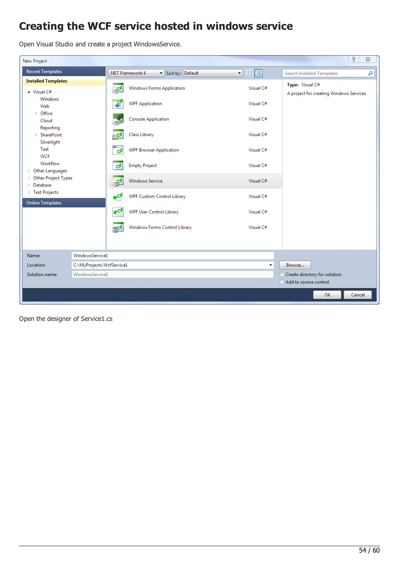# Creating the WCF service hosted in windows service

Open Visual Studio and create a project WindowsService.

| New Project                                                                                                                  |                           |                                   |                                      |                                                | ð                                                          | $\Sigma\!3$ |
|------------------------------------------------------------------------------------------------------------------------------|---------------------------|-----------------------------------|--------------------------------------|------------------------------------------------|------------------------------------------------------------|-------------|
| <b>Recent Templates</b>                                                                                                      |                           |                                   | .NET Framework 4<br>Sort by: Default | $\cdot$ 11 $\left  \rule{0.3cm}{.0cm} \right $ | <b>Search Installed Templates</b>                          | م           |
| <b>Installed Templates</b><br>$\blacktriangle$ Visual C#<br>Windows<br>Web<br>D Office<br>Cloud<br>Reporting                 |                           | EC#                               | <b>Windows Forms Application</b>     | Visual C#                                      | Type: Visual C#<br>A project for creating Windows Services |             |
|                                                                                                                              |                           | ್                                 | <b>WPF Application</b>               | Visual C#                                      |                                                            |             |
|                                                                                                                              |                           | les<br><mark>Ec</mark> β          | <b>Console Application</b>           | Visual C#                                      |                                                            |             |
| ▷ SharePoint<br>Silverlight<br>Test<br><b>WCF</b><br>Workflow<br>Other Languages<br>▷ Other Project Types<br><b>Database</b> |                           | ⊯c#                               | Class Library                        | Visual C#                                      |                                                            |             |
|                                                                                                                              |                           | $\infty$<br>$\mathbf{c}^{\sharp}$ | <b>WPF Browser Application</b>       | Visual C#                                      |                                                            |             |
|                                                                                                                              |                           | C#                                | <b>Empty Project</b>                 | Visual C#                                      |                                                            |             |
|                                                                                                                              |                           | ag#                               | <b>Windows Service</b>               | Visual C#                                      |                                                            |             |
| ▷ Test Projects<br><b>Online Templates</b>                                                                                   |                           | $\bullet^{\mathsf{cf}}$           | <b>WPF Custom Control Library</b>    | Visual C#                                      |                                                            |             |
|                                                                                                                              |                           | $\mathbf{e}^{\mathbf{c}t}$        | <b>WPF User Control Library</b>      | Visual C#                                      |                                                            |             |
|                                                                                                                              |                           | <b>FIC#</b>                       | Windows Forms Control Library        | Visual C#                                      |                                                            |             |
|                                                                                                                              |                           |                                   |                                      |                                                |                                                            |             |
| Name:                                                                                                                        | WindowsService1           |                                   |                                      |                                                |                                                            |             |
| Location:                                                                                                                    | C:\MyProjects\WcfService1 |                                   |                                      | Browse                                         |                                                            |             |
| Solution name:                                                                                                               | WindowsService1           |                                   |                                      |                                                | Create directory for solution<br>Add to source control     |             |
|                                                                                                                              |                           |                                   |                                      |                                                | OK<br>Cancel                                               |             |

Open the designer of Service1.cs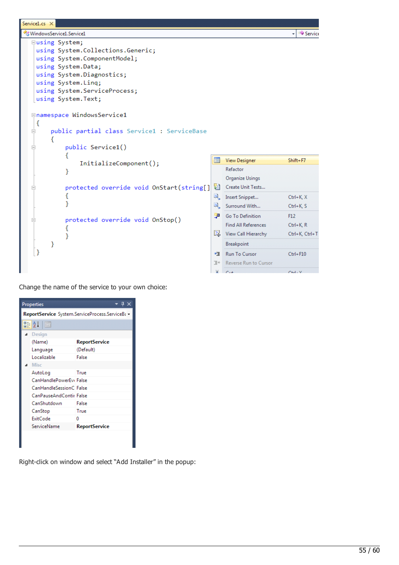```
Service1.cs X
WindowsService1.Service1
                                                                                                  Service
                                                                                                ٠
   Eusing System;
    using System.Collections.Generic;
    using System.ComponentModel;
    using System.Data;
    using System.Diagnostics;
    using System. Linq;
    using System. ServiceProcess;
    using System. Text;
   Enamespace WindowsService1
    \mathcal{E}public partial class Service1 : ServiceBase
   Ė
         €
               public Service1()
   Ė
               €
                                                                    图 View Designer
                                                                                               Shift+F7
                    InitializeComponent();
                                                                        Refactor
               ł
                                                                        Organize Usings
               protected override void OnStart(string[]
                                                                       Create Unit Tests...
   Ė
               €
                                                                    \mathbb{R}_\succ Insert Snippet...
                                                                                               Ctrl+K, X
               }
                                                                    <sup>同</sup>, Surround With...
                                                                                               Ctrl+K, S
                                                                    Go To Definition
                                                                                               F12protected override void OnStop()
                                                                        Find All References
                                                                                               Ctrl+K, R€
                                                                    图 View Call Hierarchy
                                                                                               Ctrl+K, Ctrl+T
               }
                                                                        Breakpoint
         €
    \mathcal{Y}→■ Run To Cursor
                                                                                               Ctrl + F10\mathbb{E}^* Reverse Run to Cursor
```
 $\vee$  $C_{11}$   $C+1. V$ 

Change the name of the service to your own choice:

| <b>Properties</b>                               | Ф×                   |  |  |  |  |
|-------------------------------------------------|----------------------|--|--|--|--|
| ReportService System.ServiceProcess.ServiceBa - |                      |  |  |  |  |
| 812 8                                           |                      |  |  |  |  |
| Design                                          |                      |  |  |  |  |
| (Name)                                          | <b>ReportService</b> |  |  |  |  |
| Language                                        | (Default)            |  |  |  |  |
| Localizable                                     | False                |  |  |  |  |
| <b>Misc</b>                                     |                      |  |  |  |  |
| AutoLog                                         | True                 |  |  |  |  |
| CanHandlePowerEvi False                         |                      |  |  |  |  |
| CanHandleSessionC False                         |                      |  |  |  |  |
| CanPauseAndContir False                         |                      |  |  |  |  |
| CanShutdown                                     | False                |  |  |  |  |
| CanStop                                         | True                 |  |  |  |  |
| <b>ExitCode</b>                                 | ٥                    |  |  |  |  |
| ServiceName                                     | <b>ReportService</b> |  |  |  |  |
|                                                 |                      |  |  |  |  |
|                                                 |                      |  |  |  |  |

Right-click on window and select "Add Installer" in the popup: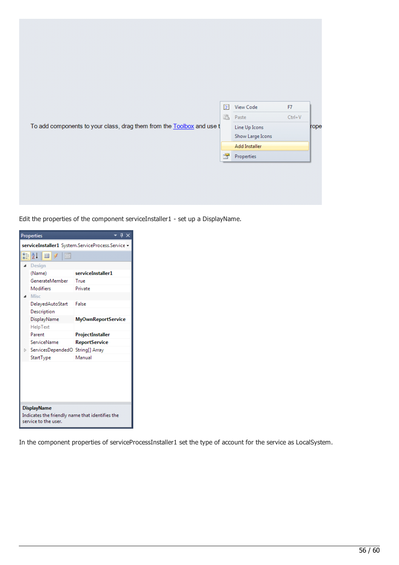|                                                                       | $\mathbb{F}$          | <b>View Code</b>                  | F7         |      |
|-----------------------------------------------------------------------|-----------------------|-----------------------------------|------------|------|
|                                                                       | L                     | Paste                             | $Ctrl + V$ |      |
| To add components to your class, drag them from the Toolbox and use t |                       | Line Up Icons<br>Show Large Icons |            | rope |
|                                                                       |                       | Add Installer                     |            |      |
|                                                                       | $\sum_{i=1}^{\infty}$ | Properties                        |            |      |

Edit the properties of the component serviceInstaller1 - set up a DisplayName.



In the component properties of serviceProcessInstaller1 set the type of account for the service as LocalSystem.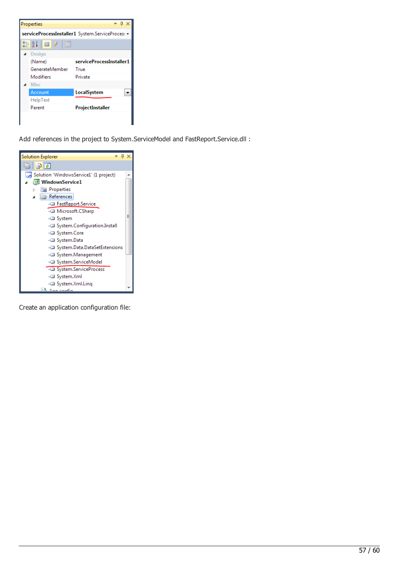

Add references in the project to System.ServiceModel and FastReport.Service.dll :



Create an application configuration file: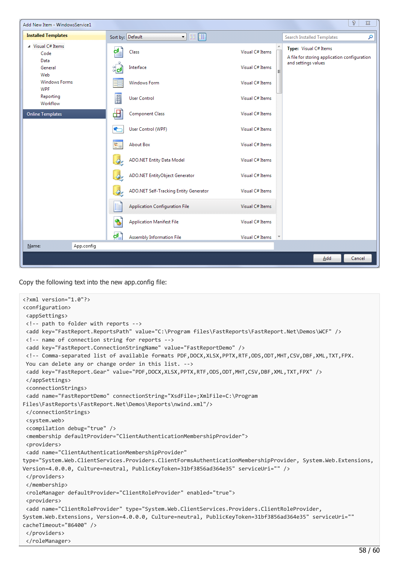| $\sqrt{2}$<br>$\Sigma\!$<br>Add New Item - WindowsService1 |                                                                       |                                             |                                              |  |  |
|------------------------------------------------------------|-----------------------------------------------------------------------|---------------------------------------------|----------------------------------------------|--|--|
| <b>Installed Templates</b>                                 | $\blacksquare$<br>Sort by: Default                                    | Search Installed Templates                  | م                                            |  |  |
| ▲ Visual C# Items<br>Code<br>Data                          | Class<br>C۴.                                                          | Type: Visual C# Items<br>Visual C# Items    | A file for storing application configuration |  |  |
| General<br>Web                                             | Interface<br>ँ⊄                                                       | and settings values<br>Visual C# Items<br>Ξ |                                              |  |  |
| <b>Windows Forms</b><br><b>WPF</b>                         | <b>Windows Form</b>                                                   | Visual C# Items                             |                                              |  |  |
| Reporting<br>Workflow                                      | E<br><b>User Control</b>                                              | Visual C# Items                             |                                              |  |  |
| <b>Online Templates</b>                                    | ⊞<br><b>Component Class</b>                                           | Visual C# Items                             |                                              |  |  |
|                                                            | User Control (WPF)<br>٠                                               | Visual C# Items                             |                                              |  |  |
|                                                            | V.<br><b>About Box</b>                                                | Visual C# Items                             |                                              |  |  |
|                                                            | ADO.NET Entity Data Model<br>$\mathcal{Q}^g$                          | Visual C# Items                             |                                              |  |  |
|                                                            | ADO.NET EntityObject Generator                                        | Visual C# Items                             |                                              |  |  |
|                                                            | ADO.NET Self-Tracking Entity Generator<br>$\mathcal{Q}_{\mathcal{P}}$ | Visual C# Items                             |                                              |  |  |
|                                                            | <b>Application Configuration File</b>                                 | Visual C# Items                             |                                              |  |  |
|                                                            | ۹<br><b>Application Manifest File</b>                                 | Visual C# Items                             |                                              |  |  |
| Name:<br>App.config                                        | c#<br>Assembly Information File                                       | Visual C# Items                             |                                              |  |  |
|                                                            |                                                                       |                                             |                                              |  |  |
|                                                            |                                                                       |                                             | Add<br>Cancel                                |  |  |

Copy the following text into the new app.config file:

```
<?xml version="1.0"?>
<configuration>
<appSettings>
<!-- path to folder with reports -->
<add key="FastReport.ReportsPath" value="C:\Program files\FastReports\FastReport.Net\Demos\WCF" />
<!-- name of connection string for reports -->
<add key="FastReport.ConnectionStringName" value="FastReportDemo" />
<!-- Comma-separated list of available formats PDF,DOCX,XLSX,PPTX,RTF,ODS,ODT,MHT,CSV,DBF,XML,TXT,FPX.
You can delete any or change order in this list. -->
<add key="FastReport.Gear" value="PDF,DOCX,XLSX,PPTX,RTF,ODS,ODT,MHT,CSV,DBF,XML,TXT,FPX" />
</appSettings>
<connectionStrings>
<add name="FastReportDemo" connectionString="XsdFile=;XmlFile=C:\Program
Files\FastReports\FastReport.Net\Demos\Reports\nwind.xml"/>
</connectionStrings>
<system.web>
<compilation debug="true" />
<membership defaultProvider="ClientAuthenticationMembershipProvider">
<providers>
<add name="ClientAuthenticationMembershipProvider"
type="System.Web.ClientServices.Providers.ClientFormsAuthenticationMembershipProvider, System.Web.Extensions,
Version=4.0.0.0, Culture=neutral, PublicKeyToken=31bf3856ad364e35" serviceUri="" />
</providers>
</membership>
<roleManager defaultProvider="ClientRoleProvider" enabled="true">
<providers>
<add name="ClientRoleProvider" type="System.Web.ClientServices.Providers.ClientRoleProvider,
System.Web.Extensions, Version=4.0.0.0, Culture=neutral, PublicKeyToken=31bf3856ad364e35" serviceUri=""
cacheTimeout="86400" />
</providers>
</roleManager>
```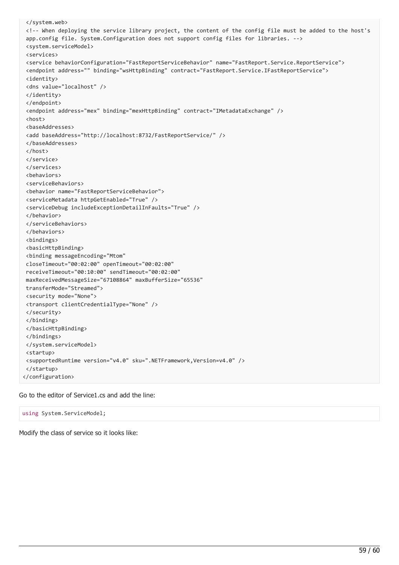```
</system.web>
<!-- When deploying the service library project, the content of the config file must be added to the host's
app.config file. System.Configuration does not support config files for libraries. -->
<system.serviceModel>
<services>
<service behaviorConfiguration="FastReportServiceBehavior" name="FastReport.Service.ReportService">
<endpoint address="" binding="wsHttpBinding" contract="FastReport.Service.IFastReportService">
<identity>
<dns value="localhost" />
</identity>
</endpoint>
<endpoint address="mex" binding="mexHttpBinding" contract="IMetadataExchange" />
<host>
<baseAddresses>
<add baseAddress="http://localhost:8732/FastReportService/" />
</baseAddresses>
</host>
</service>
</services>
<behaviors>
<serviceBehaviors>
<behavior name="FastReportServiceBehavior">
<serviceMetadata httpGetEnabled="True" />
<serviceDebug includeExceptionDetailInFaults="True" />
</behavior>
</serviceBehaviors>
</behaviors>
<bindings>
<basicHttpBinding>
<binding messageEncoding="Mtom"
closeTimeout="00:02:00" openTimeout="00:02:00"
receiveTimeout="00:10:00" sendTimeout="00:02:00"
maxReceivedMessageSize="67108864" maxBufferSize="65536"
transferMode="Streamed">
<security mode="None">
<transport clientCredentialType="None" />
</security>
</binding>
</basicHttpBinding>
</bindings>
</system.serviceModel>
<startup>
<supportedRuntime version="v4.0" sku=".NETFramework,Version=v4.0" />
</startup>
</configuration>
```
Go to the editor of Service1.cs and add the line:

using System.ServiceModel;

Modify the class of service so it looks like: